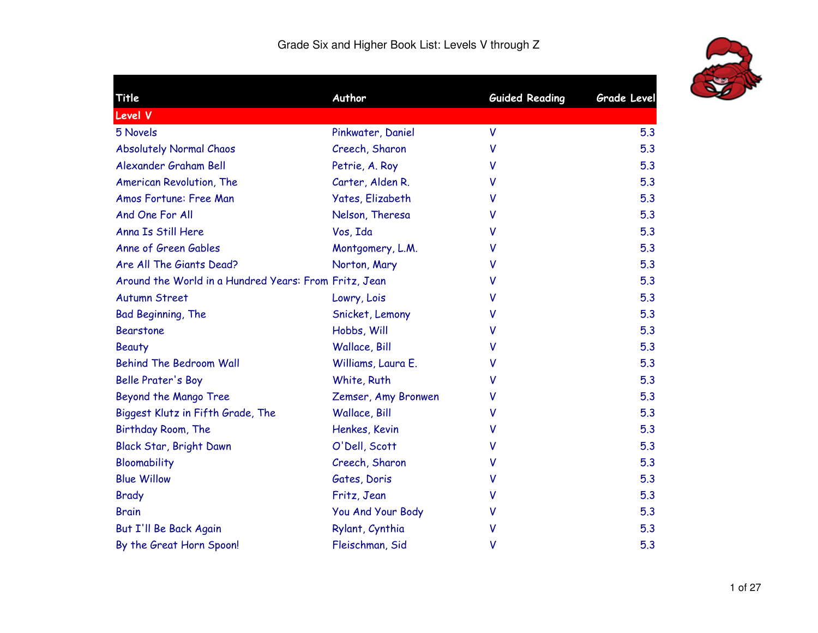

| Title                                                 | Author                  | <b>Guided Reading</b> | <b>Grade Level</b> |
|-------------------------------------------------------|-------------------------|-----------------------|--------------------|
| <b>Level V</b>                                        |                         |                       |                    |
| 5 Novels                                              | Pinkwater, Daniel       | V                     | 5.3                |
| <b>Absolutely Normal Chaos</b>                        | Creech, Sharon          | V                     | 5.3                |
| Alexander Graham Bell                                 | Petrie, A. Roy          | V                     | 5.3                |
| American Revolution, The                              | Carter, Alden R.        | v                     | 5.3                |
| Amos Fortune: Free Man                                | <b>Yates, Elizabeth</b> | v                     | 5.3                |
| And One For All                                       | Nelson, Theresa         | v                     | 5.3                |
| Anna Is Still Here                                    | Vos, Ida                | v                     | 5.3                |
| Anne of Green Gables                                  | Montgomery, L.M.        | v                     | 5.3                |
| Are All The Giants Dead?                              | Norton, Mary            | v                     | 5.3                |
| Around the World in a Hundred Years: From Fritz, Jean |                         | V                     | 5.3                |
| <b>Autumn Street</b>                                  | Lowry, Lois             | v                     | 5.3                |
| Bad Beginning, The                                    | Snicket, Lemony         | v                     | 5.3                |
| <b>Bearstone</b>                                      | Hobbs, Will             | v                     | 5.3                |
| <b>Beauty</b>                                         | Wallace, Bill           | v                     | 5.3                |
| <b>Behind The Bedroom Wall</b>                        | Williams, Laura E.      | v                     | 5.3                |
| <b>Belle Prater's Boy</b>                             | White, Ruth             | v                     | 5.3                |
| Beyond the Mango Tree                                 | Zemser, Amy Bronwen     | v                     | 5.3                |
| Biggest Klutz in Fifth Grade, The                     | Wallace, Bill           | v                     | 5.3                |
| Birthday Room, The                                    | Henkes, Kevin           | v                     | 5.3                |
| Black Star, Bright Dawn                               | O'Dell, Scott           | v                     | 5.3                |
| Bloomability                                          | Creech, Sharon          | v                     | 5.3                |
| <b>Blue Willow</b>                                    | Gates, Doris            | V                     | 5.3                |
| <b>Brady</b>                                          | Fritz, Jean             | v                     | 5.3                |
| <b>Brain</b>                                          | You And Your Body       | v                     | 5.3                |
| But I'll Be Back Again                                | Rylant, Cynthia         | V                     | 5.3                |
| By the Great Horn Spoon!                              | Fleischman, Sid         | ۷                     | 5.3                |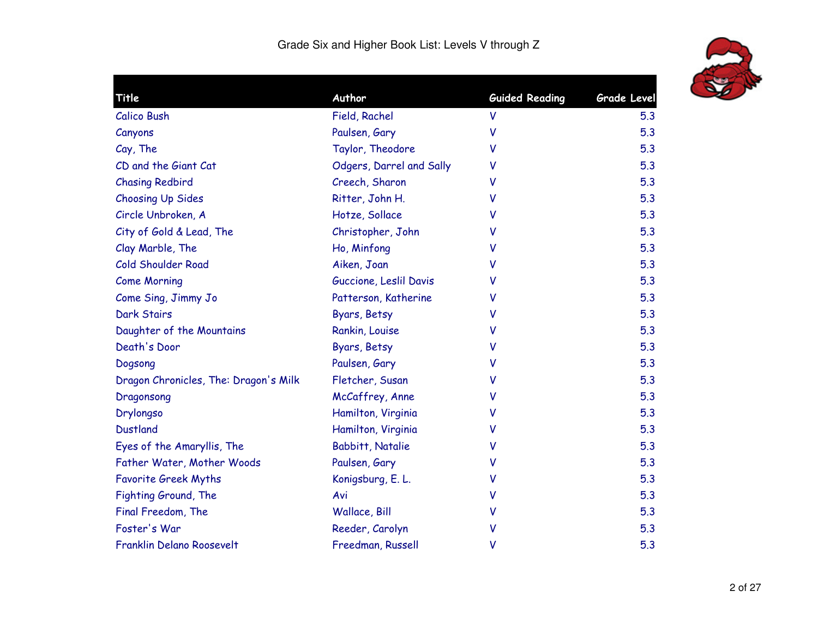

| Title                                 | Author                   | <b>Guided Reading</b> | <b>Grade Level</b> |
|---------------------------------------|--------------------------|-----------------------|--------------------|
| <b>Calico Bush</b>                    | Field, Rachel            | V                     | 5.3                |
| Canyons                               | Paulsen, Gary            | V                     | 5.3                |
| Cay, The                              | Taylor, Theodore         | v                     | 5.3                |
| CD and the Giant Cat                  | Odgers, Darrel and Sally | V                     | 5.3                |
| <b>Chasing Redbird</b>                | Creech, Sharon           | v                     | 5.3                |
| <b>Choosing Up Sides</b>              | Ritter, John H.          | v                     | 5.3                |
| Circle Unbroken, A                    | Hotze, Sollace           | v                     | 5.3                |
| City of Gold & Lead, The              | Christopher, John        | v                     | 5.3                |
| Clay Marble, The                      | Ho, Minfong              | v                     | 5.3                |
| Cold Shoulder Road                    | Aiken, Joan              | v                     | 5.3                |
| <b>Come Morning</b>                   | Guccione, Leslil Davis   | v                     | 5.3                |
| Come Sing, Jimmy Jo                   | Patterson, Katherine     | v                     | 5.3                |
| <b>Dark Stairs</b>                    | Byars, Betsy             | v                     | 5.3                |
| Daughter of the Mountains             | Rankin, Louise           | v                     | 5.3                |
| Death's Door                          | Byars, Betsy             | v                     | 5.3                |
| Dogsong                               | Paulsen, Gary            | V                     | 5.3                |
| Dragon Chronicles, The: Dragon's Milk | Fletcher, Susan          | v                     | 5.3                |
| Dragonsong                            | McCaffrey, Anne          | v                     | 5.3                |
| Drylongso                             | Hamilton, Virginia       | v                     | 5.3                |
| <b>Dustland</b>                       | Hamilton, Virginia       | v                     | 5.3                |
| Eyes of the Amaryllis, The            | <b>Babbitt, Natalie</b>  | v                     | 5.3                |
| Father Water, Mother Woods            | Paulsen, Gary            | v                     | 5.3                |
| <b>Favorite Greek Myths</b>           | Konigsburg, E. L.        | V                     | 5.3                |
| Fighting Ground, The                  | Avi                      | ٧                     | 5.3                |
| Final Freedom, The                    | Wallace, Bill            | v                     | 5.3                |
| Foster's War                          | Reeder, Carolyn          | V                     | 5.3                |
| Franklin Delano Roosevelt             | Freedman, Russell        | ٧                     | 5.3                |
|                                       |                          |                       |                    |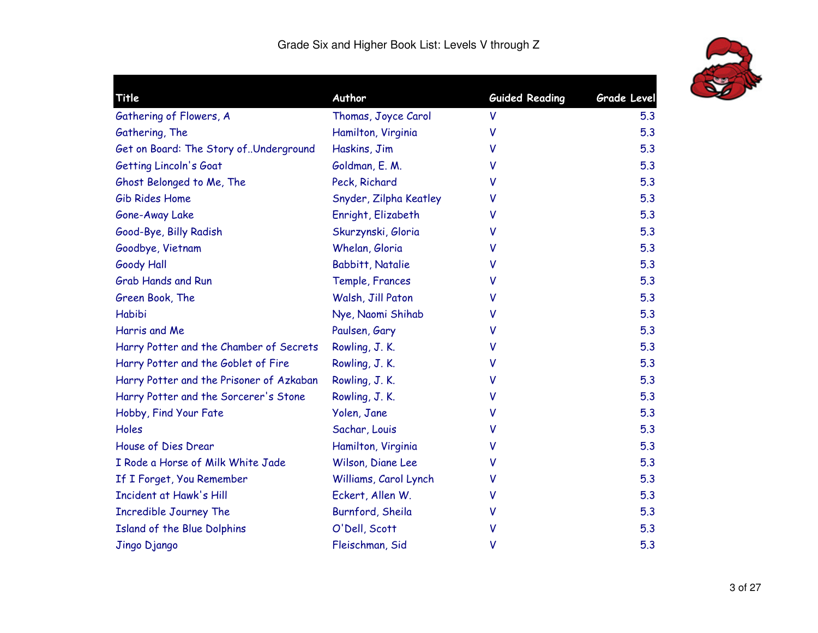

| Title                                    | Author                  | <b>Guided Reading</b> | <b>Grade Level</b> |
|------------------------------------------|-------------------------|-----------------------|--------------------|
| Gathering of Flowers, A                  | Thomas, Joyce Carol     | V                     | 5.3                |
| Gathering, The                           | Hamilton, Virginia      | v                     | 5.3                |
| Get on Board: The Story of. Underground  | Haskins, Jim            | v                     | 5.3                |
| Getting Lincoln's Goat                   | Goldman, E. M.          | v                     | 5.3                |
| Ghost Belonged to Me, The                | Peck, Richard           | v                     | 5.3                |
| Gib Rides Home                           | Snyder, Zilpha Keatley  | v                     | 5.3                |
| Gone-Away Lake                           | Enright, Elizabeth      | v                     | 5.3                |
| Good-Bye, Billy Radish                   | Skurzynski, Gloria      | v                     | 5.3                |
| Goodbye, Vietnam                         | Whelan, Gloria          | v                     | 5.3                |
| <b>Goody Hall</b>                        | <b>Babbitt, Natalie</b> | v                     | 5.3                |
| <b>Grab Hands and Run</b>                | Temple, Frances         | v                     | 5.3                |
| Green Book, The                          | Walsh, Jill Paton       | v                     | 5.3                |
| Habibi                                   | Nye, Naomi Shihab       | v                     | 5.3                |
| Harris and Me                            | Paulsen, Gary           | v                     | 5.3                |
| Harry Potter and the Chamber of Secrets  | Rowling, J.K.           | v                     | 5.3                |
| Harry Potter and the Goblet of Fire      | Rowling, J.K.           | v                     | 5.3                |
| Harry Potter and the Prisoner of Azkaban | Rowling, J. K.          | v                     | 5.3                |
| Harry Potter and the Sorcerer's Stone    | Rowling, J. K.          | v                     | 5.3                |
| Hobby, Find Your Fate                    | Yolen, Jane             | V                     | 5.3                |
| Holes                                    | Sachar, Louis           | v                     | 5.3                |
| House of Dies Drear                      | Hamilton, Virginia      | v                     | 5.3                |
| I Rode a Horse of Milk White Jade        | Wilson, Diane Lee       | v                     | 5.3                |
| If I Forget, You Remember                | Williams, Carol Lynch   | v                     | 5.3                |
| Incident at Hawk's Hill                  | Eckert, Allen W.        | v                     | 5.3                |
| <b>Incredible Journey The</b>            | Burnford, Sheila        | v                     | 5.3                |
| Island of the Blue Dolphins              | O'Dell, Scott           | v                     | 5.3                |
| Jingo Django                             | Fleischman, Sid         | v                     | 5.3                |
|                                          |                         |                       |                    |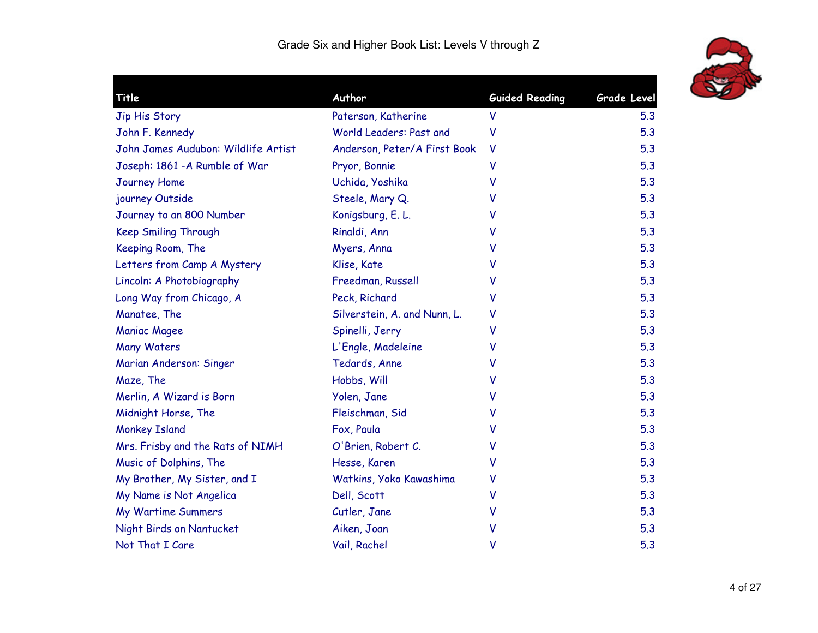

| Title                               | Author                       | <b>Guided Reading</b> | <b>Grade Level</b> |
|-------------------------------------|------------------------------|-----------------------|--------------------|
| Jip His Story                       | Paterson, Katherine          | V                     | 5.3                |
| John F. Kennedy                     | World Leaders: Past and      | ۷                     | 5.3                |
| John James Audubon: Wildlife Artist | Anderson, Peter/A First Book | V                     | 5.3                |
| Joseph: 1861 - A Rumble of War      | Pryor, Bonnie                | v                     | 5.3                |
| Journey Home                        | Uchida, Yoshika              | v                     | 5.3                |
| journey Outside                     | Steele, Mary Q.              | v                     | 5.3                |
| Journey to an 800 Number            | Konigsburg, E. L.            | v                     | 5.3                |
| <b>Keep Smiling Through</b>         | Rinaldi, Ann                 | v                     | 5.3                |
| Keeping Room, The                   | Myers, Anna                  | v                     | 5.3                |
| Letters from Camp A Mystery         | Klise, Kate                  | v                     | 5.3                |
| Lincoln: A Photobiography           | Freedman, Russell            | v                     | 5.3                |
| Long Way from Chicago, A            | Peck, Richard                | v                     | 5.3                |
| Manatee, The                        | Silverstein, A. and Nunn, L. | v                     | 5.3                |
| <b>Maniac Magee</b>                 | Spinelli, Jerry              | v                     | 5.3                |
| <b>Many Waters</b>                  | L'Engle, Madeleine           | v                     | 5.3                |
| Marian Anderson: Singer             | Tedards, Anne                | v                     | 5.3                |
| Maze, The                           | Hobbs, Will                  | v                     | 5.3                |
| Merlin, A Wizard is Born            | Yolen, Jane                  | v                     | 5.3                |
| Midnight Horse, The                 | Fleischman, Sid              | v                     | 5.3                |
| <b>Monkey Island</b>                | Fox, Paula                   | v                     | 5.3                |
| Mrs. Frisby and the Rats of NIMH    | O'Brien, Robert C.           | v                     | 5.3                |
| Music of Dolphins, The              | Hesse, Karen                 | v                     | 5.3                |
| My Brother, My Sister, and I        | Watkins, Yoko Kawashima      | v                     | 5.3                |
| My Name is Not Angelica             | Dell, Scott                  | V                     | 5.3                |
| <b>My Wartime Summers</b>           | Cutler, Jane                 | v                     | 5.3                |
| Night Birds on Nantucket            | Aiken, Joan                  | v                     | 5.3                |
| Not That I Care                     | Vail, Rachel                 | V                     | 5.3                |
|                                     |                              |                       |                    |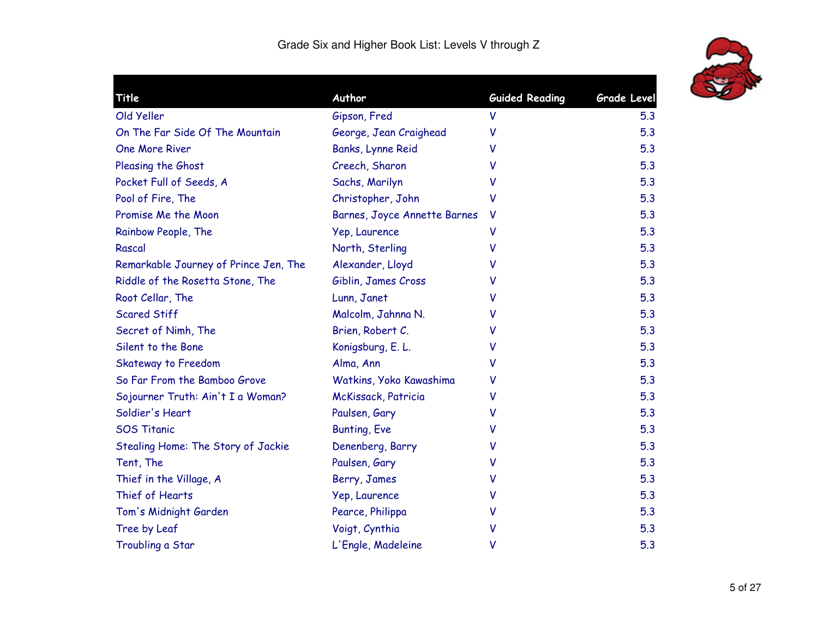

|                                                                                                                                                                                                                                                                                                                                                                                                                                                                                                                                                            | <b>Grade Level</b>              |
|------------------------------------------------------------------------------------------------------------------------------------------------------------------------------------------------------------------------------------------------------------------------------------------------------------------------------------------------------------------------------------------------------------------------------------------------------------------------------------------------------------------------------------------------------------|---------------------------------|
| V                                                                                                                                                                                                                                                                                                                                                                                                                                                                                                                                                          | 5.3                             |
| v                                                                                                                                                                                                                                                                                                                                                                                                                                                                                                                                                          | 5.3                             |
| v                                                                                                                                                                                                                                                                                                                                                                                                                                                                                                                                                          | 5.3                             |
| v                                                                                                                                                                                                                                                                                                                                                                                                                                                                                                                                                          | 5.3                             |
| v                                                                                                                                                                                                                                                                                                                                                                                                                                                                                                                                                          | 5.3                             |
| ۷                                                                                                                                                                                                                                                                                                                                                                                                                                                                                                                                                          | 5.3                             |
| v                                                                                                                                                                                                                                                                                                                                                                                                                                                                                                                                                          | 5.3                             |
| V                                                                                                                                                                                                                                                                                                                                                                                                                                                                                                                                                          | 5.3                             |
| V                                                                                                                                                                                                                                                                                                                                                                                                                                                                                                                                                          | 5.3                             |
| v                                                                                                                                                                                                                                                                                                                                                                                                                                                                                                                                                          | 5.3                             |
| ۷                                                                                                                                                                                                                                                                                                                                                                                                                                                                                                                                                          | 5.3                             |
| v                                                                                                                                                                                                                                                                                                                                                                                                                                                                                                                                                          | 5.3                             |
| v                                                                                                                                                                                                                                                                                                                                                                                                                                                                                                                                                          | 5.3                             |
| v                                                                                                                                                                                                                                                                                                                                                                                                                                                                                                                                                          | 5.3                             |
| v                                                                                                                                                                                                                                                                                                                                                                                                                                                                                                                                                          | 5.3                             |
| V                                                                                                                                                                                                                                                                                                                                                                                                                                                                                                                                                          | 5.3                             |
| v                                                                                                                                                                                                                                                                                                                                                                                                                                                                                                                                                          | 5.3                             |
| v                                                                                                                                                                                                                                                                                                                                                                                                                                                                                                                                                          | 5.3                             |
| v                                                                                                                                                                                                                                                                                                                                                                                                                                                                                                                                                          | 5.3                             |
| v                                                                                                                                                                                                                                                                                                                                                                                                                                                                                                                                                          | 5.3                             |
| v                                                                                                                                                                                                                                                                                                                                                                                                                                                                                                                                                          | 5.3                             |
| v                                                                                                                                                                                                                                                                                                                                                                                                                                                                                                                                                          | 5.3                             |
| v                                                                                                                                                                                                                                                                                                                                                                                                                                                                                                                                                          | 5.3                             |
| v                                                                                                                                                                                                                                                                                                                                                                                                                                                                                                                                                          | 5.3                             |
| v                                                                                                                                                                                                                                                                                                                                                                                                                                                                                                                                                          | 5.3                             |
| v                                                                                                                                                                                                                                                                                                                                                                                                                                                                                                                                                          | 5.3                             |
| V                                                                                                                                                                                                                                                                                                                                                                                                                                                                                                                                                          | 5.3                             |
| Gipson, Fred<br>George, Jean Craighead<br>Banks, Lynne Reid<br>Creech, Sharon<br>Sachs, Marilyn<br>Christopher, John<br>Barnes, Joyce Annette Barnes<br>Yep, Laurence<br>North, Sterling<br>Alexander, Lloyd<br>Giblin, James Cross<br>Lunn, Janet<br>Malcolm, Jahnna N.<br>Brien, Robert C.<br>Konigsburg, E. L.<br>Alma, Ann<br>Watkins, Yoko Kawashima<br>McKissack, Patricia<br>Paulsen, Gary<br><b>Bunting, Eve</b><br>Denenberg, Barry<br>Paulsen, Gary<br>Berry, James<br>Yep, Laurence<br>Pearce, Philippa<br>Voigt, Cynthia<br>L'Engle, Madeleine | Author<br><b>Guided Reading</b> |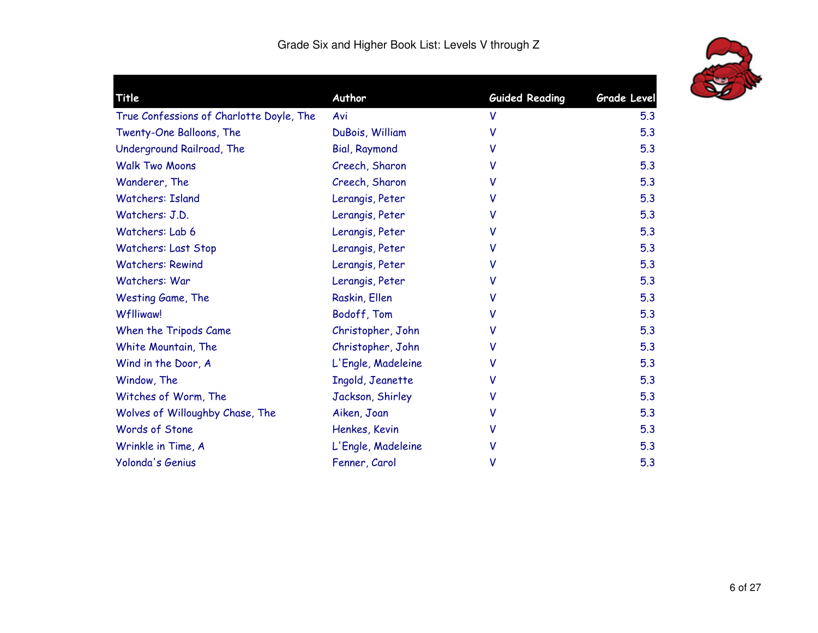

| Title                                    | Author               | <b>Guided Reading</b> | <b>Grade Level</b> |
|------------------------------------------|----------------------|-----------------------|--------------------|
| True Confessions of Charlotte Doyle, The | Avi                  | V                     | 5.3                |
| Twenty-One Balloons, The                 | DuBois, William      | v                     | 5.3                |
| Underground Railroad, The                | <b>Bial, Raymond</b> | v                     | 5.3                |
| <b>Walk Two Moons</b>                    | Creech, Sharon       | v                     | 5.3                |
| Wanderer, The                            | Creech, Sharon       | v                     | 5.3                |
| <b>Watchers: Island</b>                  | Lerangis, Peter      | ۷                     | 5.3                |
| Watchers: J.D.                           | Lerangis, Peter      | V                     | 5.3                |
| Watchers: Lab 6                          | Lerangis, Peter      | v                     | 5.3                |
| <b>Watchers: Last Stop</b>               | Lerangis, Peter      | v                     | 5.3                |
| <b>Watchers: Rewind</b>                  | Lerangis, Peter      | v                     | 5.3                |
| Watchers: War                            | Lerangis, Peter      | v                     | 5.3                |
| Westing Game, The                        | Raskin, Ellen        | v                     | 5.3                |
| <b>Wflliwaw!</b>                         | Bodoff, Tom          | v                     | 5.3                |
| When the Tripods Came                    | Christopher, John    |                       | 5.3                |
| White Mountain, The                      | Christopher, John    | v                     | 5.3                |
| Wind in the Door, A                      | L'Engle, Madeleine   | v                     | 5.3                |
| Window, The                              | Ingold, Jeanette     | v                     | 5.3                |
| Witches of Worm, The                     | Jackson, Shirley     | ۷                     | 5.3                |
| Wolves of Willoughby Chase, The          | Aiken, Joan          | v                     | 5.3                |
| Words of Stone                           | Henkes, Kevin        | v                     | 5.3                |
| Wrinkle in Time, A                       | L'Engle, Madeleine   |                       | 5.3                |
| Yolonda's Genius                         | Fenner, Carol        | ٧                     | 5.3                |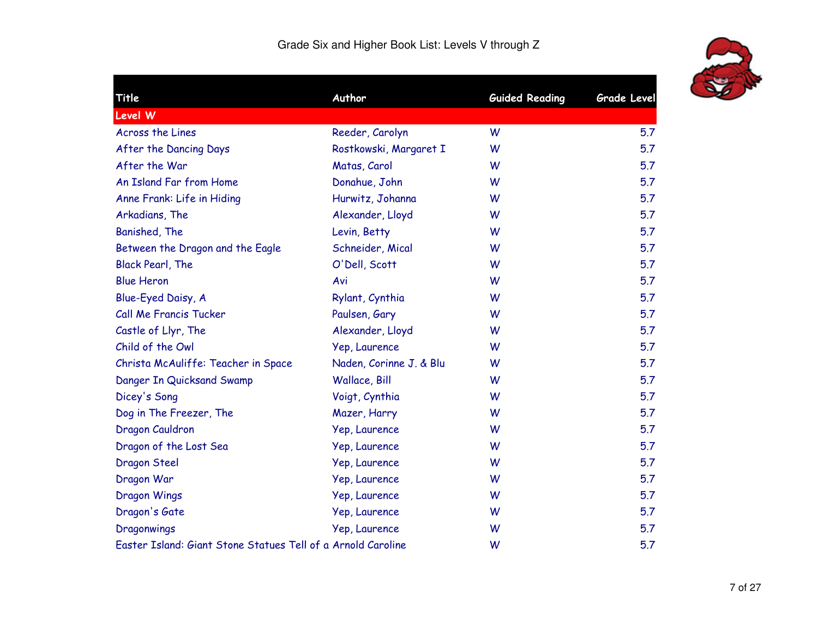

| Title                                                        | Author                  | <b>Guided Reading</b> | <b>Grade Level</b> |
|--------------------------------------------------------------|-------------------------|-----------------------|--------------------|
| Level W                                                      |                         |                       |                    |
| Across the Lines                                             | Reeder, Carolyn         | W                     | 5.7                |
| After the Dancing Days                                       | Rostkowski, Margaret I  | W                     | 5.7                |
| After the War                                                | Matas, Carol            | W                     | 5.7                |
| An Island Far from Home                                      | Donahue, John           | W                     | 5.7                |
| Anne Frank: Life in Hiding                                   | Hurwitz, Johanna        | W                     | 5.7                |
| Arkadians, The                                               | Alexander, Lloyd        | W                     | 5.7                |
| Banished, The                                                | Levin, Betty            | W                     | 5.7                |
| Between the Dragon and the Eagle                             | Schneider, Mical        | W                     | 5.7                |
| <b>Black Pearl, The</b>                                      | O'Dell, Scott           | W                     | 5.7                |
| <b>Blue Heron</b>                                            | Avi                     | W                     | 5.7                |
| Blue-Eyed Daisy, A                                           | Rylant, Cynthia         | W                     | 5.7                |
| Call Me Francis Tucker                                       | Paulsen, Gary           | W                     | 5.7                |
| Castle of Llyr, The                                          | Alexander, Lloyd        | W                     | 5.7                |
| Child of the Owl                                             | Yep, Laurence           | W                     | 5.7                |
| Christa McAuliffe: Teacher in Space                          | Naden, Corinne J. & Blu | W                     | 5.7                |
| Danger In Quicksand Swamp                                    | Wallace, Bill           | W                     | 5.7                |
| Dicey's Song                                                 | Voigt, Cynthia          | W                     | 5.7                |
| Dog in The Freezer, The                                      | Mazer, Harry            | W                     | 5.7                |
| Dragon Cauldron                                              | Yep, Laurence           | W                     | 5.7                |
| Dragon of the Lost Sea                                       | Yep, Laurence           | W                     | 5.7                |
| Dragon Steel                                                 | Yep, Laurence           | W                     | 5.7                |
| Dragon War                                                   | Yep, Laurence           | W                     | 5.7                |
| <b>Dragon Wings</b>                                          | Yep, Laurence           | W                     | 5.7                |
| Dragon's Gate                                                | Yep, Laurence           | W                     | 5.7                |
| Dragonwings                                                  | Yep, Laurence           | W                     | 5.7                |
| Easter Island: Giant Stone Statues Tell of a Arnold Caroline |                         | W                     | 5.7                |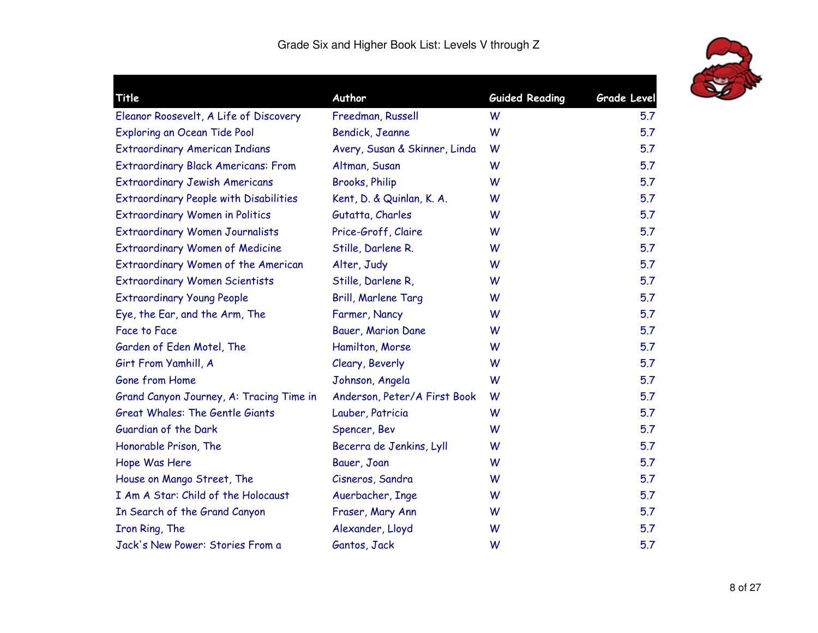

| <b>Title</b>                                  | Author                        | <b>Guided Reading</b> | Grade Level |
|-----------------------------------------------|-------------------------------|-----------------------|-------------|
| Eleanor Roosevelt, A Life of Discovery        | Freedman, Russell             | W                     | 5.7         |
| Exploring an Ocean Tide Pool                  | Bendick, Jeanne               | W                     | 5.7         |
| <b>Extraordinary American Indians</b>         | Avery, Susan & Skinner, Linda | W                     | 5.7         |
| <b>Extraordinary Black Americans: From</b>    | Altman, Susan                 | W                     | 5.7         |
| <b>Extraordinary Jewish Americans</b>         | <b>Brooks, Philip</b>         | W                     | 5.7         |
| <b>Extraordinary People with Disabilities</b> | Kent, D. & Quinlan, K. A.     | W                     | 5.7         |
| <b>Extraordinary Women in Politics</b>        | Gutatta, Charles              | W                     | 5.7         |
| <b>Extraordinary Women Journalists</b>        | Price-Groff, Claire           | W                     | 5.7         |
| <b>Extraordinary Women of Medicine</b>        | Stille, Darlene R.            | W                     | 5.7         |
| Extraordinary Women of the American           | Alter, Judy                   | W                     | 5.7         |
| <b>Extraordinary Women Scientists</b>         | Stille, Darlene R,            | W                     | 5.7         |
| <b>Extraordinary Young People</b>             | Brill, Marlene Targ           | W                     | 5.7         |
| Eye, the Ear, and the Arm, The                | Farmer, Nancy                 | W                     | 5.7         |
| <b>Face to Face</b>                           | Bauer, Marion Dane            | W                     | 5.7         |
| Garden of Eden Motel, The                     | Hamilton, Morse               | W                     | 5.7         |
| Girt From Yamhill, A                          | Cleary, Beverly               | W                     | 5.7         |
| Gone from Home                                | Johnson, Angela               | W                     | 5.7         |
| Grand Canyon Journey, A: Tracing Time in      | Anderson, Peter/A First Book  | W                     | 5.7         |
| <b>Great Whales: The Gentle Giants</b>        | Lauber, Patricia              | W                     | 5.7         |
| Guardian of the Dark                          | Spencer, Bev                  | W                     | 5.7         |
| Honorable Prison, The                         | Becerra de Jenkins, Lyll      | W                     | 5.7         |
| Hope Was Here                                 | Bauer, Joan                   | W                     | 5.7         |
| House on Mango Street, The                    | Cisneros, Sandra              | W                     | 5.7         |
| I Am A Star: Child of the Holocaust           | Auerbacher, Inge              | W                     | 5.7         |
| In Search of the Grand Canyon                 | Fraser, Mary Ann              | W                     | 5.7         |
| Iron Ring, The                                | Alexander, Lloyd              | W                     | 5.7         |
| Jack's New Power: Stories From a              | Gantos, Jack                  | W                     | 5.7         |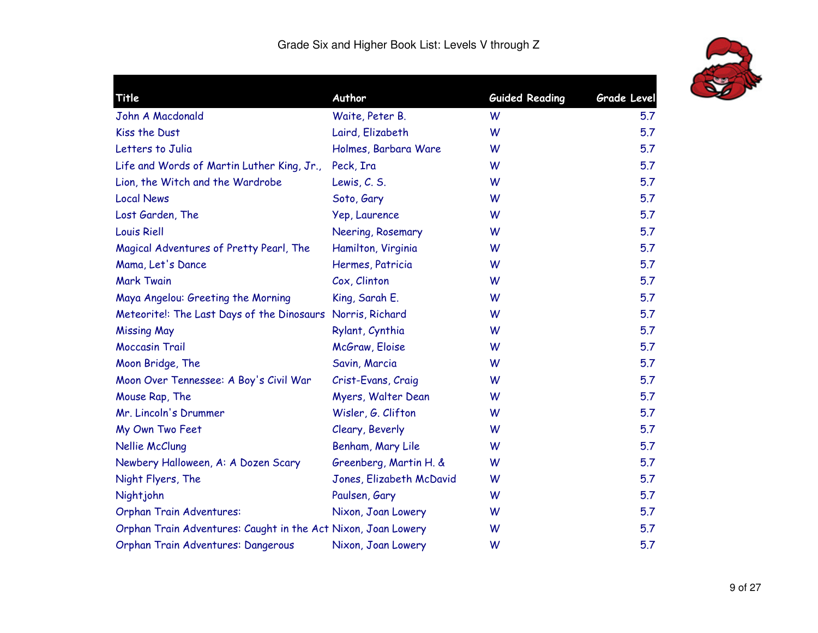

| Title                                                         | Author                   | <b>Guided Reading</b> | Grade Level |
|---------------------------------------------------------------|--------------------------|-----------------------|-------------|
| John A Macdonald                                              | Waite, Peter B.          | W                     | 5.7         |
| Kiss the Dust                                                 | Laird, Elizabeth         | W                     | 5.7         |
| Letters to Julia                                              | Holmes, Barbara Ware     | W                     | 5.7         |
| Life and Words of Martin Luther King, Jr.,                    | Peck, Ira                | W                     | 5.7         |
| Lion, the Witch and the Wardrobe                              | Lewis, C. S.             | W                     | 5.7         |
| <b>Local News</b>                                             | Soto, Gary               | W                     | 5.7         |
| Lost Garden, The                                              | Yep, Laurence            | W                     | 5.7         |
| <b>Louis Riell</b>                                            | Neering, Rosemary        | W                     | 5.7         |
| Magical Adventures of Pretty Pearl, The                       | Hamilton, Virginia       | W                     | 5.7         |
| Mama, Let's Dance                                             | Hermes, Patricia         | W                     | 5.7         |
| <b>Mark Twain</b>                                             | Cox, Clinton             | W                     | 5.7         |
| Maya Angelou: Greeting the Morning                            | King, Sarah E.           | W                     | 5.7         |
| Meteorite!: The Last Days of the Dinosaurs Norris, Richard    |                          | W                     | 5.7         |
| <b>Missing May</b>                                            | Rylant, Cynthia          | W                     | 5.7         |
| <b>Moccasin Trail</b>                                         | McGraw, Eloise           | W                     | 5.7         |
| Moon Bridge, The                                              | Savin, Marcia            | W                     | 5.7         |
| Moon Over Tennessee: A Boy's Civil War                        | Crist-Evans, Craig       | W                     | 5.7         |
| Mouse Rap, The                                                | Myers, Walter Dean       | W                     | 5.7         |
| Mr. Lincoln's Drummer                                         | Wisler, G. Clifton       | W                     | 5.7         |
| My Own Two Feet                                               | Cleary, Beverly          | W                     | 5.7         |
| Nellie McClung                                                | Benham, Mary Lile        | W                     | 5.7         |
| Newbery Halloween, A: A Dozen Scary                           | Greenberg, Martin H. &   | W                     | 5.7         |
| Night Flyers, The                                             | Jones, Elizabeth McDavid | W                     | 5.7         |
| Nightjohn                                                     | Paulsen, Gary            | W                     | 5.7         |
| <b>Orphan Train Adventures:</b>                               | Nixon, Joan Lowery       | W                     | 5.7         |
| Orphan Train Adventures: Caught in the Act Nixon, Joan Lowery |                          | W                     | 5.7         |
| Orphan Train Adventures: Dangerous                            | Nixon, Joan Lowery       | W                     | 5.7         |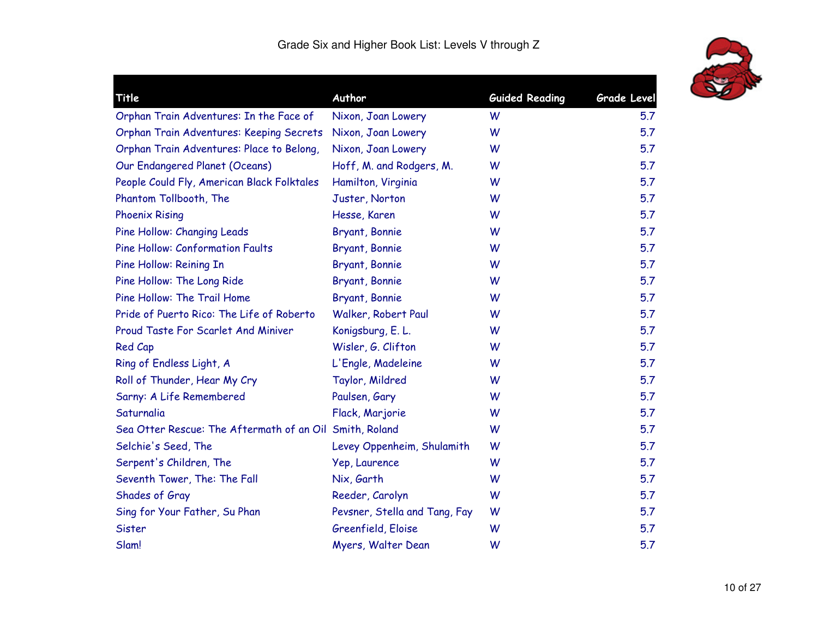

| Title                                                   | Author                        | <b>Guided Reading</b> | <b>Grade Level</b> |
|---------------------------------------------------------|-------------------------------|-----------------------|--------------------|
| Orphan Train Adventures: In the Face of                 | Nixon, Joan Lowery            | W                     | 5.7                |
| Orphan Train Adventures: Keeping Secrets                | Nixon, Joan Lowery            | W                     | 5.7                |
| Orphan Train Adventures: Place to Belong,               | Nixon, Joan Lowery            | W                     | 5.7                |
| Our Endangered Planet (Oceans)                          | Hoff, M. and Rodgers, M.      | W                     | 5.7                |
| People Could Fly, American Black Folktales              | Hamilton, Virginia            | W                     | 5.7                |
| Phantom Tollbooth, The                                  | Juster, Norton                | W                     | 5.7                |
| <b>Phoenix Rising</b>                                   | Hesse, Karen                  | W                     | 5.7                |
| Pine Hollow: Changing Leads                             | Bryant, Bonnie                | W                     | 5.7                |
| <b>Pine Hollow: Conformation Faults</b>                 | Bryant, Bonnie                | W                     | 5.7                |
| Pine Hollow: Reining In                                 | Bryant, Bonnie                | W                     | 5.7                |
| Pine Hollow: The Long Ride                              | Bryant, Bonnie                | W                     | 5.7                |
| Pine Hollow: The Trail Home                             | Bryant, Bonnie                | W                     | 5.7                |
| Pride of Puerto Rico: The Life of Roberto               | Walker, Robert Paul           | W                     | 5.7                |
| Proud Taste For Scarlet And Miniver                     | Konigsburg, E. L.             | W                     | 5.7                |
| Red Cap                                                 | Wisler, G. Clifton            | W                     | 5.7                |
| Ring of Endless Light, A                                | L'Engle, Madeleine            | W                     | 5.7                |
| Roll of Thunder, Hear My Cry                            | Taylor, Mildred               | W                     | 5.7                |
| Sarny: A Life Remembered                                | Paulsen, Gary                 | W                     | 5.7                |
| Saturnalia                                              | Flack, Marjorie               | W                     | 5.7                |
| Sea Otter Rescue: The Aftermath of an Oil Smith, Roland |                               | W                     | 5.7                |
| Selchie's Seed, The                                     | Levey Oppenheim, Shulamith    | W                     | 5.7                |
| Serpent's Children, The                                 | Yep, Laurence                 | W                     | 5.7                |
| Seventh Tower, The: The Fall                            | Nix, Garth                    | W                     | 5.7                |
| Shades of Gray                                          | Reeder, Carolyn               | W                     | 5.7                |
| Sing for Your Father, Su Phan                           | Pevsner, Stella and Tang, Fay | W                     | 5.7                |
| Sister                                                  | Greenfield, Eloise            | W                     | 5.7                |
| Slam!                                                   | Myers, Walter Dean            | W                     | 5.7                |
|                                                         |                               |                       |                    |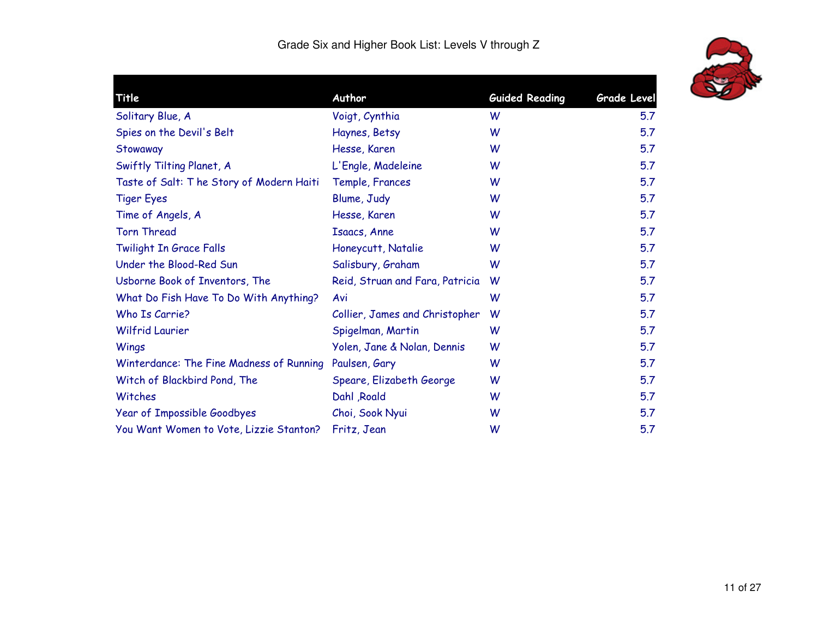

| Title                                    | Author                          | <b>Guided Reading</b> | <b>Grade Level</b> |
|------------------------------------------|---------------------------------|-----------------------|--------------------|
| Solitary Blue, A                         | Voigt, Cynthia                  | W                     | 5.7                |
| Spies on the Devil's Belt                | Haynes, Betsy                   | W                     | 5.7                |
| Stowaway                                 | Hesse, Karen                    | W                     | 5.7                |
| Swiftly Tilting Planet, A                | L'Engle, Madeleine              | W                     | 5.7                |
| Taste of Salt: The Story of Modern Haiti | Temple, Frances                 | W                     | 5.7                |
| <b>Tiger Eyes</b>                        | Blume, Judy                     | W                     | 5.7                |
| Time of Angels, A                        | Hesse, Karen                    | W                     | 5.7                |
| <b>Torn Thread</b>                       | Isaacs, Anne                    | W                     | 5.7                |
| Twilight In Grace Falls                  | Honeycutt, Natalie              | W                     | 5.7                |
| Under the Blood-Red Sun                  | Salisbury, Graham               | W                     | 5.7                |
| Usborne Book of Inventors, The           | Reid, Struan and Fara, Patricia | W                     | 5.7                |
| What Do Fish Have To Do With Anything?   | Avi                             | W                     | 5.7                |
| Who Is Carrie?                           | Collier, James and Christopher  | W                     | 5.7                |
| <b>Wilfrid Laurier</b>                   | Spigelman, Martin               | W                     | 5.7                |
| Wings                                    | Yolen, Jane & Nolan, Dennis     | W                     | 5.7                |
| Winterdance: The Fine Madness of Running | Paulsen, Gary                   | W                     | 5.7                |
| Witch of Blackbird Pond, The             | Speare, Elizabeth George        | W                     | 5.7                |
| Witches                                  | Dahl , Roald                    | W                     | 5.7                |
| Year of Impossible Goodbyes              | Choi, Sook Nyui                 | W                     | 5.7                |
| You Want Women to Vote, Lizzie Stanton?  | Fritz, Jean                     | W                     | 5.7                |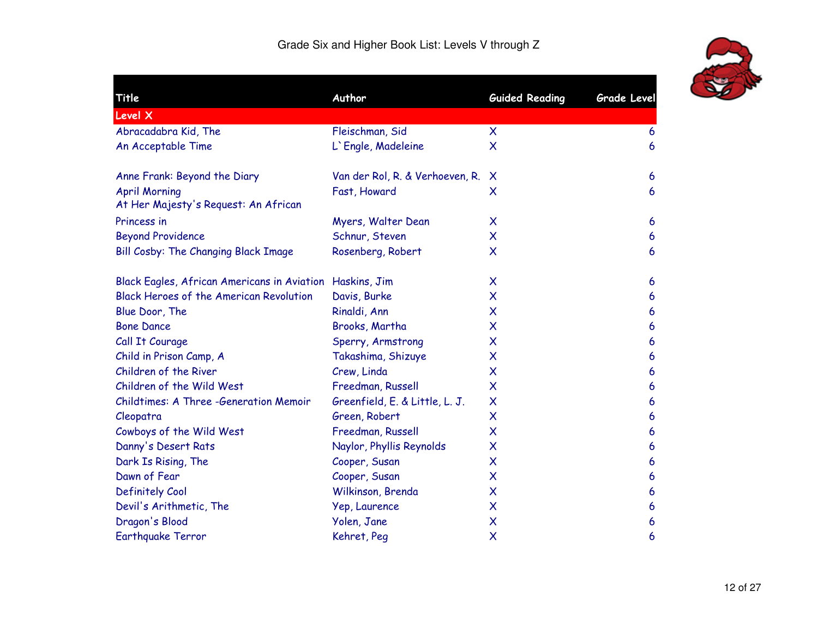

| Title                                                        | Author                          | <b>Guided Reading</b>     | <b>Grade Level</b> |
|--------------------------------------------------------------|---------------------------------|---------------------------|--------------------|
| <b>Level X</b>                                               |                                 |                           |                    |
| Abracadabra Kid, The                                         | Fleischman, Sid                 | X                         | 6                  |
| An Acceptable Time                                           | L'Engle, Madeleine              | $\boldsymbol{\mathsf{X}}$ | 6                  |
| Anne Frank: Beyond the Diary                                 | Van der Rol, R. & Verhoeven, R. | X                         | 6                  |
| <b>April Morning</b><br>At Her Majesty's Request: An African | Fast, Howard                    | $\boldsymbol{\mathsf{X}}$ | 6                  |
| Princess in                                                  | Myers, Walter Dean              | X                         | 6                  |
| <b>Beyond Providence</b>                                     | Schnur, Steven                  | $\boldsymbol{\mathsf{X}}$ | 6                  |
| <b>Bill Cosby: The Changing Black Image</b>                  | Rosenberg, Robert               | $\boldsymbol{\mathsf{X}}$ | 6                  |
| Black Eagles, African Americans in Aviation                  | Haskins, Jim                    | X                         | 6                  |
| <b>Black Heroes of the American Revolution</b>               | Davis, Burke                    | $\boldsymbol{\mathsf{X}}$ | $6\phantom{1}6$    |
| Blue Door, The                                               | Rinaldi, Ann                    | X                         | 6                  |
| <b>Bone Dance</b>                                            | Brooks, Martha                  | $\boldsymbol{\mathsf{X}}$ | 6                  |
| Call It Courage                                              | Sperry, Armstrong               | X                         | 6                  |
| Child in Prison Camp, A                                      | Takashima, Shizuye              | X                         | 6                  |
| Children of the River                                        | Crew, Linda                     | X                         | 6                  |
| Children of the Wild West                                    | Freedman, Russell               | X                         | 6                  |
| Childtimes: A Three -Generation Memoir                       | Greenfield, E. & Little, L. J.  | $\boldsymbol{\mathsf{X}}$ | 6                  |
| Cleopatra                                                    | Green, Robert                   | $\boldsymbol{\mathsf{X}}$ | 6                  |
| Cowboys of the Wild West                                     | Freedman, Russell               | X                         | 6                  |
| Danny's Desert Rats                                          | Naylor, Phyllis Reynolds        | $\boldsymbol{\mathsf{X}}$ | 6                  |
| Dark Is Rising, The                                          | Cooper, Susan                   | X                         | 6                  |
| Dawn of Fear                                                 | Cooper, Susan                   | $\boldsymbol{\mathsf{X}}$ | 6                  |
| Definitely Cool                                              | Wilkinson, Brenda               | $\boldsymbol{\mathsf{X}}$ | 6                  |
| Devil's Arithmetic, The                                      | Yep, Laurence                   | $\boldsymbol{\mathsf{X}}$ | 6                  |
| Dragon's Blood                                               | Yolen, Jane                     | X                         | 6                  |
| Earthquake Terror                                            | Kehret, Peg                     | $\boldsymbol{\mathsf{X}}$ | 6                  |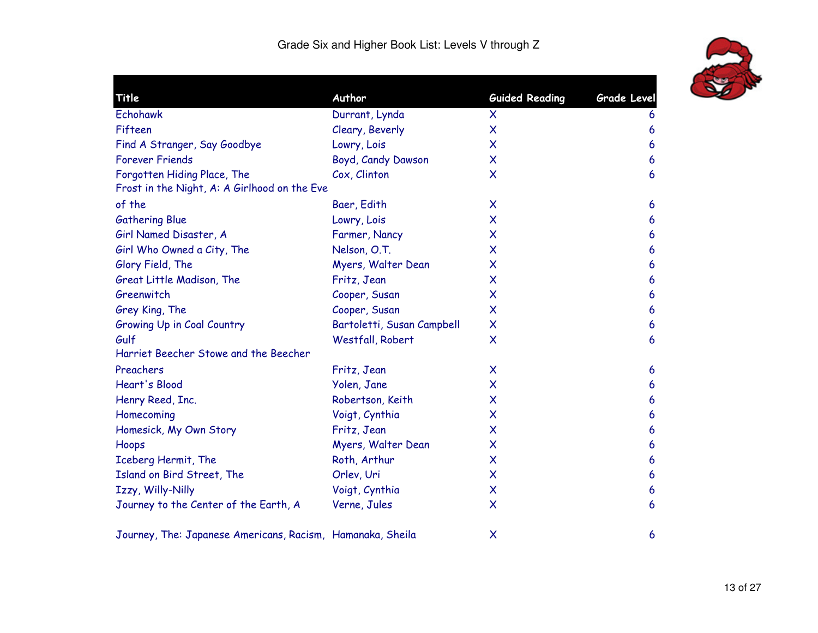

| Title                                                      | Author                     | <b>Guided Reading</b>     | Grade Level |
|------------------------------------------------------------|----------------------------|---------------------------|-------------|
| <b>Echohawk</b>                                            | Durrant, Lynda             | X                         | 6           |
| Fifteen                                                    | Cleary, Beverly            | X                         | 6           |
| Find A Stranger, Say Goodbye                               | Lowry, Lois                | X                         | 6           |
| <b>Forever Friends</b>                                     | Boyd, Candy Dawson         | X                         | 6           |
| Forgotten Hiding Place, The                                | Cox, Clinton               | X                         | 6           |
| Frost in the Night, A: A Girlhood on the Eve               |                            |                           |             |
| of the                                                     | Baer, Edith                | X                         | 6           |
| <b>Gathering Blue</b>                                      | Lowry, Lois                | X                         | 6           |
| Girl Named Disaster, A                                     | Farmer, Nancy              | X                         | 6           |
| Girl Who Owned a City, The                                 | Nelson, O.T.               | X                         | 6           |
| Glory Field, The                                           | Myers, Walter Dean         | X                         | 6           |
| Great Little Madison, The                                  | Fritz, Jean                | X                         | 6           |
| Greenwitch                                                 | Cooper, Susan              | X                         | 6           |
| Grey King, The                                             | Cooper, Susan              | X                         | 6           |
| <b>Growing Up in Coal Country</b>                          | Bartoletti, Susan Campbell | X                         | 6           |
| Gulf                                                       | Westfall, Robert           | X                         | 6           |
| Harriet Beecher Stowe and the Beecher                      |                            |                           |             |
| Preachers                                                  | Fritz, Jean                | X                         | 6           |
| Heart's Blood                                              | Yolen, Jane                | X                         | 6           |
| Henry Reed, Inc.                                           | Robertson, Keith           | X                         | 6           |
| Homecoming                                                 | Voigt, Cynthia             | X                         | 6           |
| Homesick, My Own Story                                     | Fritz, Jean                | X                         | 6           |
| Hoops                                                      | Myers, Walter Dean         | X                         | 6           |
| Iceberg Hermit, The                                        | Roth, Arthur               | X                         | 6           |
| Island on Bird Street, The                                 | Orlev, Uri                 | X                         | 6           |
| Izzy, Willy-Nilly                                          | Voigt, Cynthia             | X                         | 6           |
| Journey to the Center of the Earth, A                      | Verne, Jules               | $\boldsymbol{\mathsf{X}}$ | 6           |
| Journey, The: Japanese Americans, Racism, Hamanaka, Sheila |                            | X                         | 6           |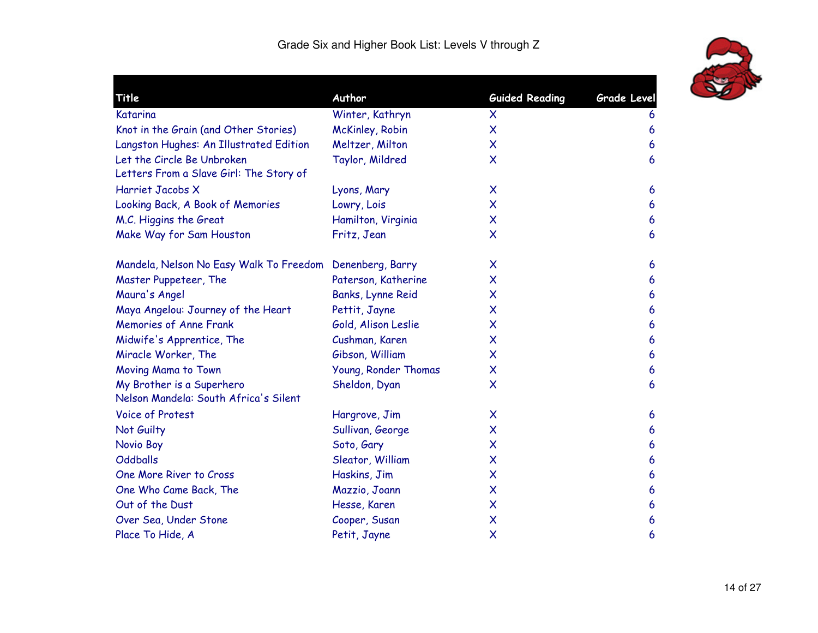

| Title                                                                 | Author               | <b>Guided Reading</b>     | <b>Grade Level</b> |
|-----------------------------------------------------------------------|----------------------|---------------------------|--------------------|
| Katarina                                                              | Winter, Kathryn      | X                         | 6                  |
| Knot in the Grain (and Other Stories)                                 | McKinley, Robin      | X                         | 6                  |
| Langston Hughes: An Illustrated Edition                               | Meltzer, Milton      | $\boldsymbol{\mathsf{x}}$ | 6                  |
| Let the Circle Be Unbroken<br>Letters From a Slave Girl: The Story of | Taylor, Mildred      | $\boldsymbol{\mathsf{X}}$ | 6                  |
| Harriet Jacobs X                                                      | Lyons, Mary          | X                         | 6                  |
| Looking Back, A Book of Memories                                      | Lowry, Lois          | $\boldsymbol{\mathsf{x}}$ | 6                  |
| M.C. Higgins the Great                                                | Hamilton, Virginia   | $\boldsymbol{\mathsf{x}}$ | 6                  |
| Make Way for Sam Houston                                              | Fritz, Jean          | $\boldsymbol{\mathsf{X}}$ | 6                  |
| Mandela, Nelson No Easy Walk To Freedom Denenberg, Barry              |                      | $\boldsymbol{\mathsf{x}}$ | 6                  |
| Master Puppeteer, The                                                 | Paterson, Katherine  | $\boldsymbol{\mathsf{x}}$ | 6                  |
| Maura's Angel                                                         | Banks, Lynne Reid    | X                         | 6                  |
| Maya Angelou: Journey of the Heart                                    | Pettit, Jayne        | $\boldsymbol{\mathsf{x}}$ | 6                  |
| <b>Memories of Anne Frank</b>                                         | Gold, Alison Leslie  | $\boldsymbol{\mathsf{x}}$ | 6                  |
| Midwife's Apprentice, The                                             | Cushman, Karen       | $\boldsymbol{\mathsf{X}}$ | $\boldsymbol{6}$   |
| Miracle Worker, The                                                   | Gibson, William      | $\boldsymbol{\mathsf{X}}$ | 6                  |
| Moving Mama to Town                                                   | Young, Ronder Thomas | X                         | 6                  |
| My Brother is a Superhero<br>Nelson Mandela: South Africa's Silent    | Sheldon, Dyan        | $\boldsymbol{\mathsf{x}}$ | 6                  |
| <b>Voice of Protest</b>                                               | Hargrove, Jim        | $\boldsymbol{\mathsf{X}}$ | 6                  |
| Not Guilty                                                            | Sullivan, George     | $\boldsymbol{\mathsf{x}}$ | 6                  |
| Novio Boy                                                             | Soto, Gary           | $\boldsymbol{\mathsf{X}}$ | 6                  |
| <b>Oddballs</b>                                                       | Sleator, William     | $\boldsymbol{\mathsf{x}}$ | 6                  |
| One More River to Cross                                               | Haskins, Jim         | X                         | 6                  |
| One Who Came Back, The                                                | Mazzio, Joann        | $\boldsymbol{\mathsf{X}}$ | 6                  |
| Out of the Dust                                                       | Hesse, Karen         | X                         | 6                  |
| Over Sea, Under Stone                                                 | Cooper, Susan        | X                         | 6                  |
| Place To Hide, A                                                      | Petit, Jayne         | $\boldsymbol{\mathsf{X}}$ | 6                  |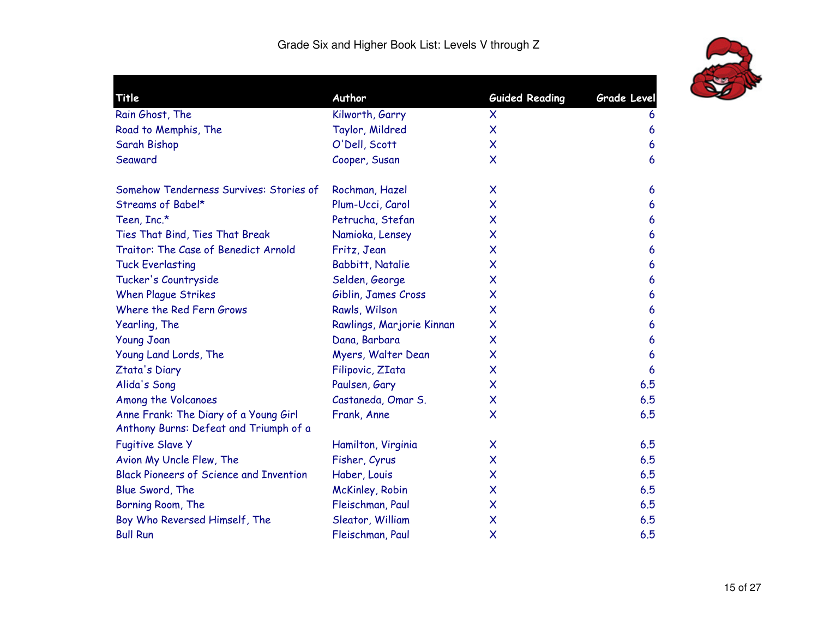

| <b>Title</b>                                                                    | Author                    | <b>Guided Reading</b>     | <b>Grade Level</b> |
|---------------------------------------------------------------------------------|---------------------------|---------------------------|--------------------|
| Rain Ghost, The                                                                 | Kilworth, Garry           | X                         | 6                  |
| Road to Memphis, The                                                            | Taylor, Mildred           | $\boldsymbol{\mathsf{x}}$ | 6                  |
| Sarah Bishop                                                                    | O'Dell, Scott             | $\boldsymbol{\mathsf{X}}$ | 6                  |
| Seaward                                                                         | Cooper, Susan             | $\boldsymbol{\mathsf{x}}$ | 6                  |
| Somehow Tenderness Survives: Stories of                                         | Rochman, Hazel            | $\boldsymbol{\mathsf{X}}$ | 6                  |
| Streams of Babel*                                                               | Plum-Ucci, Carol          | $\boldsymbol{\mathsf{x}}$ | 6                  |
| Teen, Inc.*                                                                     | Petrucha, Stefan          | $\boldsymbol{\mathsf{x}}$ | 6                  |
| Ties That Bind, Ties That Break                                                 | Namioka, Lensey           | $\boldsymbol{\mathsf{X}}$ | 6                  |
| Traitor: The Case of Benedict Arnold                                            | Fritz, Jean               | $\boldsymbol{\mathsf{x}}$ | 6                  |
| <b>Tuck Everlasting</b>                                                         | <b>Babbitt, Natalie</b>   | $\boldsymbol{\mathsf{x}}$ | 6                  |
| Tucker's Countryside                                                            | Selden, George            | $\boldsymbol{\mathsf{X}}$ | 6                  |
| <b>When Plague Strikes</b>                                                      | Giblin, James Cross       | $\boldsymbol{\mathsf{x}}$ | 6                  |
| Where the Red Fern Grows                                                        | Rawls, Wilson             | $\boldsymbol{\mathsf{X}}$ | 6                  |
| Yearling, The                                                                   | Rawlings, Marjorie Kinnan | $\boldsymbol{\mathsf{X}}$ | 6                  |
| <b>Young Joan</b>                                                               | Dana, Barbara             | $\boldsymbol{\mathsf{x}}$ | 6                  |
| Young Land Lords, The                                                           | Myers, Walter Dean        | $\boldsymbol{\mathsf{x}}$ | 6                  |
| Ztata's Diary                                                                   | Filipovic, ZIata          | $\boldsymbol{\mathsf{x}}$ | 6                  |
| Alida's Song                                                                    | Paulsen, Gary             | X                         | 6.5                |
| Among the Volcanoes                                                             | Castaneda, Omar S.        | X                         | 6.5                |
| Anne Frank: The Diary of a Young Girl<br>Anthony Burns: Defeat and Triumph of a | Frank, Anne               | $\boldsymbol{\mathsf{X}}$ | 6.5                |
| <b>Fugitive Slave Y</b>                                                         | Hamilton, Virginia        | X                         | 6.5                |
| Avion My Uncle Flew, The                                                        | Fisher, Cyrus             | $\boldsymbol{\mathsf{x}}$ | 6.5                |
| <b>Black Pioneers of Science and Invention</b>                                  | Haber, Louis              | X                         | 6.5                |
| Blue Sword, The                                                                 | McKinley, Robin           | $\boldsymbol{\mathsf{x}}$ | 6.5                |
| Borning Room, The                                                               | Fleischman, Paul          | $\boldsymbol{\mathsf{x}}$ | 6.5                |
| Boy Who Reversed Himself, The                                                   | Sleator, William          | X                         | 6.5                |
| <b>Bull Run</b>                                                                 | Fleischman, Paul          | $\boldsymbol{\mathsf{x}}$ | 6.5                |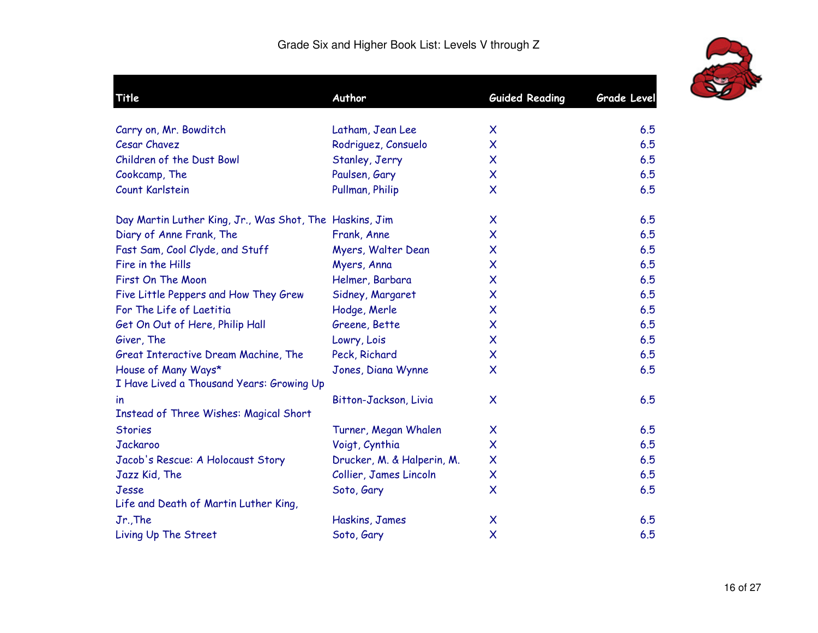

| Title                                                            | Author                     | <b>Guided Reading</b>     | <b>Grade Level</b> |
|------------------------------------------------------------------|----------------------------|---------------------------|--------------------|
| Carry on, Mr. Bowditch                                           | Latham, Jean Lee           | $\boldsymbol{\mathsf{X}}$ | 6.5                |
| <b>Cesar Chavez</b>                                              | Rodriguez, Consuelo        | $\boldsymbol{\mathsf{X}}$ | 6.5                |
| Children of the Dust Bowl                                        | Stanley, Jerry             | $\boldsymbol{\mathsf{X}}$ | 6.5                |
| Cookcamp, The                                                    | Paulsen, Gary              | $\boldsymbol{\mathsf{X}}$ | 6.5                |
| Count Karlstein                                                  | Pullman, Philip            | $\boldsymbol{\mathsf{X}}$ | 6.5                |
| Day Martin Luther King, Jr., Was Shot, The Haskins, Jim          |                            | $\boldsymbol{\mathsf{X}}$ | 6.5                |
| Diary of Anne Frank, The                                         | Frank, Anne                | $\boldsymbol{\mathsf{X}}$ | 6.5                |
| Fast Sam, Cool Clyde, and Stuff                                  | Myers, Walter Dean         | X                         | 6.5                |
| Fire in the Hills                                                | Myers, Anna                | X                         | 6.5                |
| First On The Moon                                                | Helmer, Barbara            | $\boldsymbol{\mathsf{X}}$ | 6.5                |
| Five Little Peppers and How They Grew                            | Sidney, Margaret           | $\boldsymbol{\mathsf{X}}$ | 6.5                |
| For The Life of Laetitia                                         | Hodge, Merle               | $\boldsymbol{\mathsf{X}}$ | 6.5                |
| Get On Out of Here, Philip Hall                                  | Greene, Bette              | $\boldsymbol{\mathsf{X}}$ | 6.5                |
| Giver, The                                                       | Lowry, Lois                | $\boldsymbol{\mathsf{X}}$ | 6.5                |
| Great Interactive Dream Machine, The                             | Peck, Richard              | $\boldsymbol{\mathsf{X}}$ | 6.5                |
| House of Many Ways*<br>I Have Lived a Thousand Years: Growing Up | Jones, Diana Wynne         | $\boldsymbol{\mathsf{X}}$ | 6.5                |
| $\mathsf{I}$<br><b>Instead of Three Wishes: Magical Short</b>    | Bitton-Jackson, Livia      | X                         | 6.5                |
| <b>Stories</b>                                                   | Turner, Megan Whalen       | X                         | 6.5                |
| Jackaroo                                                         | Voigt, Cynthia             | $\boldsymbol{\mathsf{X}}$ | 6.5                |
| Jacob's Rescue: A Holocaust Story                                | Drucker, M. & Halperin, M. | $\boldsymbol{\mathsf{X}}$ | 6.5                |
| Jazz Kid, The                                                    | Collier, James Lincoln     | $\boldsymbol{\mathsf{X}}$ | 6.5                |
| Jesse                                                            | Soto, Gary                 | $\boldsymbol{\mathsf{X}}$ | 6.5                |
| Life and Death of Martin Luther King,                            |                            |                           |                    |
| Jr., The                                                         | Haskins, James             | X                         | 6.5                |
| Living Up The Street                                             | Soto, Gary                 | $\boldsymbol{\mathsf{X}}$ | 6.5                |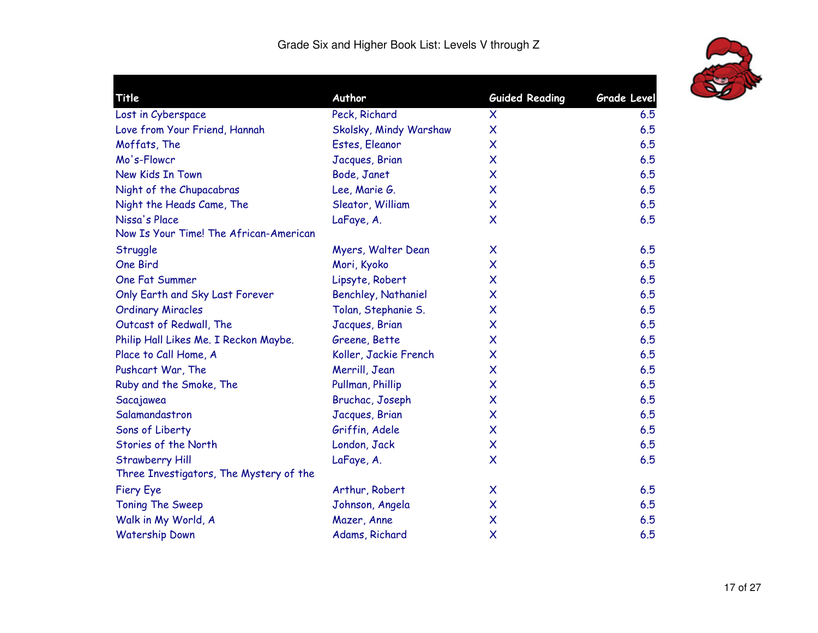

| Title                                   | Author                     | <b>Guided Reading</b>     | Grade Level |
|-----------------------------------------|----------------------------|---------------------------|-------------|
| Lost in Cyberspace                      | Peck, Richard              | $\boldsymbol{\mathsf{X}}$ | 6.5         |
| Love from Your Friend, Hannah           | Skolsky, Mindy Warshaw     | $\boldsymbol{\mathsf{X}}$ | 6.5         |
| Moffats, The                            | Estes, Eleanor             | X                         | 6.5         |
| Mo's-Flowcr                             | Jacques, Brian             | X                         | 6.5         |
| New Kids In Town                        | Bode, Janet                | X                         | 6.5         |
| Night of the Chupacabras                | Lee, Marie G.              | $\boldsymbol{\mathsf{X}}$ | 6.5         |
| Night the Heads Came, The               | Sleator, William           | $\boldsymbol{\mathsf{X}}$ | 6.5         |
| Nissa's Place                           | LaFaye, A.                 | $\boldsymbol{\mathsf{X}}$ | 6.5         |
| Now Is Your Time! The African-American  |                            |                           |             |
| Struggle                                | Myers, Walter Dean         | X                         | 6.5         |
| One Bird                                | Mori, Kyoko                | X                         | 6.5         |
| One Fat Summer                          | Lipsyte, Robert            | X                         | 6.5         |
| Only Earth and Sky Last Forever         | <b>Benchley, Nathaniel</b> | X                         | 6.5         |
| <b>Ordinary Miracles</b>                | Tolan, Stephanie S.        | $\boldsymbol{\mathsf{X}}$ | 6.5         |
| Outcast of Redwall, The                 | Jacques, Brian             | X                         | 6.5         |
| Philip Hall Likes Me. I Reckon Maybe.   | Greene, Bette              | X                         | 6.5         |
| Place to Call Home, A                   | Koller, Jackie French      | $\boldsymbol{\mathsf{X}}$ | 6.5         |
| Pushcart War, The                       | Merrill, Jean              | X                         | 6.5         |
| Ruby and the Smoke, The                 | Pullman, Phillip           | X                         | 6.5         |
| Sacajawea                               | Bruchac, Joseph            | $\boldsymbol{\mathsf{X}}$ | 6.5         |
| Salamandastron                          | Jacques, Brian             | $\boldsymbol{\mathsf{X}}$ | 6.5         |
| Sons of Liberty                         | Griffin, Adele             | $\boldsymbol{\mathsf{X}}$ | 6.5         |
| Stories of the North                    | London, Jack               | $\boldsymbol{\mathsf{X}}$ | 6.5         |
| <b>Strawberry Hill</b>                  | LaFaye, A.                 | $\boldsymbol{\mathsf{X}}$ | 6.5         |
| Three Investigators, The Mystery of the |                            |                           |             |
| <b>Fiery Eye</b>                        | Arthur, Robert             | $\boldsymbol{\mathsf{X}}$ | 6.5         |
| <b>Toning The Sweep</b>                 | Johnson, Angela            | $\boldsymbol{\mathsf{X}}$ | 6.5         |
| Walk in My World, A                     | Mazer, Anne                | $\boldsymbol{\mathsf{X}}$ | 6.5         |
| <b>Watership Down</b>                   | Adams, Richard             | $\boldsymbol{\mathsf{X}}$ | 6.5         |
|                                         |                            |                           |             |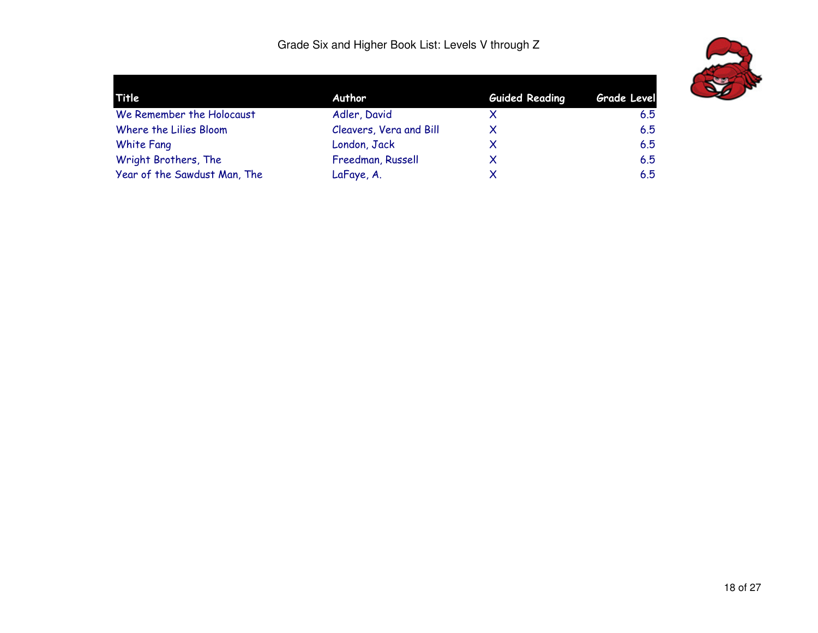

| Grade Level |
|-------------|
| 6.5         |
| 6.5         |
| 6.5         |
| 6.5         |
| 6.5         |
|             |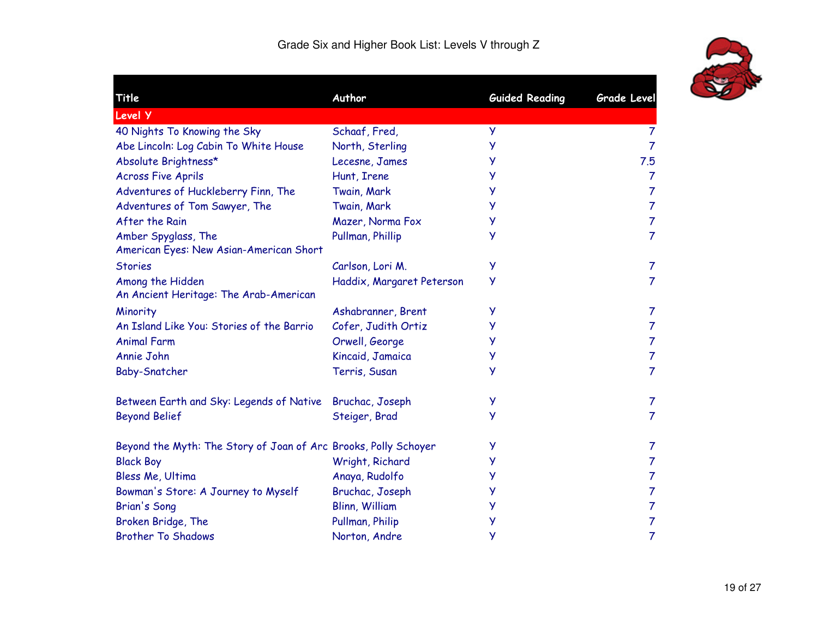

| Title                                                           | Author                    | <b>Guided Reading</b> | <b>Grade Level</b> |
|-----------------------------------------------------------------|---------------------------|-----------------------|--------------------|
| Level Y                                                         |                           |                       |                    |
| 40 Nights To Knowing the Sky                                    | Schaaf, Fred,             | y                     | 7                  |
| Abe Lincoln: Log Cabin To White House                           | North, Sterling           | У                     | $\overline{7}$     |
| Absolute Brightness*                                            | Lecesne, James            | y                     | 7.5                |
| <b>Across Five Aprils</b>                                       | Hunt, Irene               | y                     | $\overline{7}$     |
| Adventures of Huckleberry Finn, The                             | Twain, Mark               | у                     | $\overline{7}$     |
| Adventures of Tom Sawyer, The                                   | Twain, Mark               | у                     | $\overline{7}$     |
| After the Rain                                                  | Mazer, Norma Fox          | У                     | $\overline{7}$     |
| Amber Spyglass, The<br>American Eyes: New Asian-American Short  | Pullman, Phillip          | у                     | $\overline{7}$     |
| <b>Stories</b>                                                  | Carlson, Lori M.          | y                     | $\overline{7}$     |
| Among the Hidden<br>An Ancient Heritage: The Arab-American      | Haddix, Margaret Peterson | У                     | $\overline{7}$     |
| Minority                                                        | Ashabranner, Brent        | у                     | 7                  |
| An Island Like You: Stories of the Barrio                       | Cofer, Judith Ortiz       | у                     | $\overline{7}$     |
| <b>Animal Farm</b>                                              | Orwell, George            | y                     | $\overline{7}$     |
| Annie John                                                      | Kincaid, Jamaica          | y                     | $\overline{7}$     |
| <b>Baby-Snatcher</b>                                            | Terris, Susan             | y                     | $\overline{7}$     |
| Between Earth and Sky: Legends of Native                        | Bruchac, Joseph           | y                     | $\overline{7}$     |
| <b>Beyond Belief</b>                                            | Steiger, Brad             | у                     | $\overline{7}$     |
| Beyond the Myth: The Story of Joan of Arc Brooks, Polly Schoyer |                           | y                     | 7                  |
| <b>Black Boy</b>                                                | Wright, Richard           | y                     | $\overline{7}$     |
| Bless Me, Ultima                                                | Anaya, Rudolfo            | У                     | 7                  |
| Bowman's Store: A Journey to Myself                             | Bruchac, Joseph           | у                     | 7                  |
| <b>Brian's Song</b>                                             | <b>Blinn, William</b>     | У                     | $\overline{7}$     |
| Broken Bridge, The                                              | Pullman, Philip           | у                     | 7                  |
| <b>Brother To Shadows</b>                                       | Norton, Andre             | у                     | $\overline{7}$     |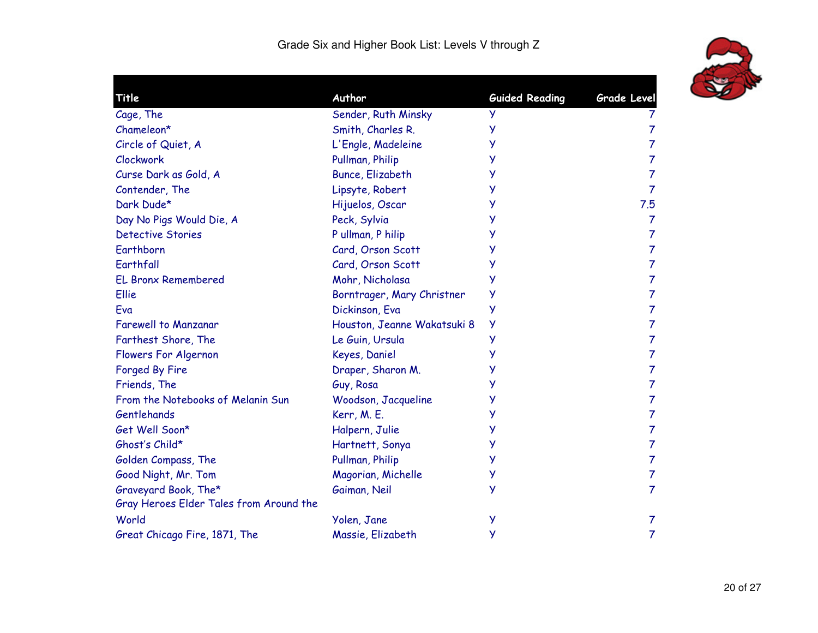

| Title                                   | Author                      | <b>Guided Reading</b> | Grade Level    |
|-----------------------------------------|-----------------------------|-----------------------|----------------|
| Cage, The                               | Sender, Ruth Minsky         | У                     |                |
| Chameleon*                              | Smith, Charles R.           | У                     | 7              |
| Circle of Quiet, A                      | L'Engle, Madeleine          | У                     | $\overline{7}$ |
| Clockwork                               | Pullman, Philip             | У                     | 7              |
| Curse Dark as Gold, A                   | <b>Bunce, Elizabeth</b>     | У                     | 7              |
| Contender, The                          | Lipsyte, Robert             | у                     | $\overline{7}$ |
| Dark Dude*                              | Hijuelos, Oscar             | у                     | 7.5            |
| Day No Pigs Would Die, A                | Peck, Sylvia                | У                     | $\overline{7}$ |
| <b>Detective Stories</b>                | P ullman, P hilip           | у                     | $\overline{7}$ |
| Earthborn                               | Card, Orson Scott           | у                     | $\overline{7}$ |
| Earthfall                               | Card, Orson Scott           | У                     | $\overline{7}$ |
| <b>EL Bronx Remembered</b>              | Mohr, Nicholasa             | у                     | $\overline{7}$ |
| Ellie                                   | Borntrager, Mary Christner  | у                     | $\overline{7}$ |
| Eva                                     | Dickinson, Eva              | У                     | $\overline{7}$ |
| <b>Farewell to Manzanar</b>             | Houston, Jeanne Wakatsuki 8 | y                     | $\overline{7}$ |
| Farthest Shore, The                     | Le Guin, Ursula             | У                     | $\overline{7}$ |
| Flowers For Algernon                    | Keyes, Daniel               | у                     | $\overline{7}$ |
| Forged By Fire                          | Draper, Sharon M.           | У                     | $\overline{7}$ |
| Friends, The                            | Guy, Rosa                   | у                     | 7              |
| From the Notebooks of Melanin Sun       | Woodson, Jacqueline         | y                     | $\overline{7}$ |
| Gentlehands                             | Kerr, M. E.                 | у                     | $\overline{7}$ |
| Get Well Soon*                          | Halpern, Julie              | у                     | $\overline{7}$ |
| Ghost's Child*                          | Hartnett, Sonya             | у                     | $\overline{7}$ |
| Golden Compass, The                     | Pullman, Philip             | у                     | 7              |
| Good Night, Mr. Tom                     | Magorian, Michelle          | у                     | 7              |
| Graveyard Book, The*                    | Gaiman, Neil                | у                     | $\overline{7}$ |
| Gray Heroes Elder Tales from Around the |                             |                       |                |
| World                                   | Yolen, Jane                 | у                     | 7              |
| Great Chicago Fire, 1871, The           | Massie, Elizabeth           | у                     | 7              |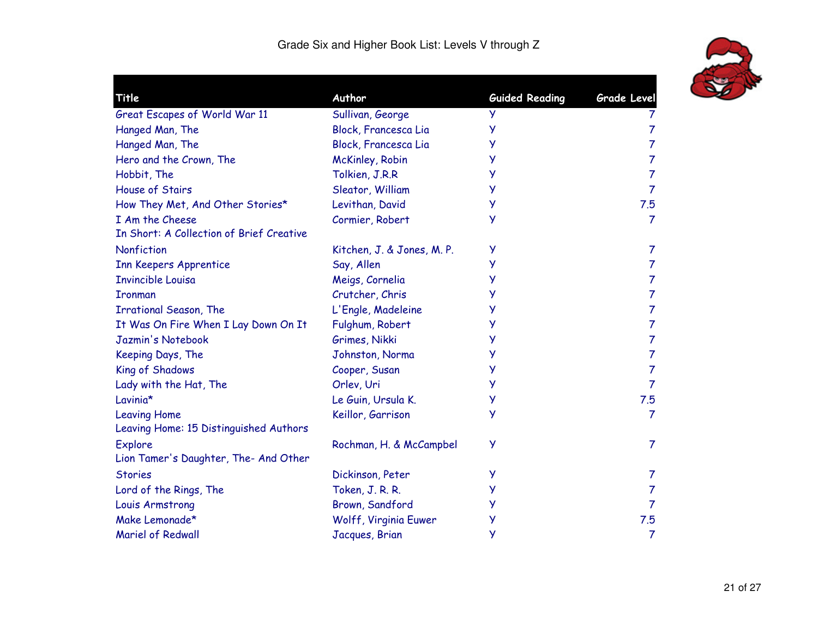

| Title                                    | Author                     | <b>Guided Reading</b> | <b>Grade Level</b> |
|------------------------------------------|----------------------------|-----------------------|--------------------|
| Great Escapes of World War 11            | Sullivan, George           | У                     | T                  |
| Hanged Man, The                          | Block, Francesca Lia       | у                     | 7                  |
| Hanged Man, The                          | Block, Francesca Lia       | у                     | 7                  |
| Hero and the Crown, The                  | McKinley, Robin            | y                     | 7                  |
| Hobbit, The                              | Tolkien, J.R.R             | У                     | 7                  |
| <b>House of Stairs</b>                   | Sleator, William           | y                     | $\overline{7}$     |
| How They Met, And Other Stories*         | Levithan, David            | У                     | 7.5                |
| I Am the Cheese                          | Cormier, Robert            | У                     | $\overline{7}$     |
| In Short: A Collection of Brief Creative |                            |                       |                    |
| Nonfiction                               | Kitchen, J. & Jones, M. P. | Y                     | 7                  |
| <b>Inn Keepers Apprentice</b>            | Say, Allen                 | y                     | $\overline{7}$     |
| <b>Invincible Louisa</b>                 | Meigs, Cornelia            | У                     | 7                  |
| <b>Ironman</b>                           | Crutcher, Chris            | у                     | 7                  |
| <b>Irrational Season, The</b>            | L'Engle, Madeleine         | y                     | 7                  |
| It Was On Fire When I Lay Down On It     | Fulghum, Robert            | у                     | 7                  |
| Jazmin's Notebook                        | Grimes, Nikki              | у                     | $\overline{7}$     |
| Keeping Days, The                        | Johnston, Norma            | У                     | $\overline{7}$     |
| King of Shadows                          | Cooper, Susan              | У                     | 7                  |
| Lady with the Hat, The                   | Orlev, Uri                 | y                     | $\overline{7}$     |
| Lavinia*                                 | Le Guin, Ursula K.         | У                     | 7.5                |
| <b>Leaving Home</b>                      | Keillor, Garrison          | У                     | $\overline{7}$     |
| Leaving Home: 15 Distinguished Authors   |                            |                       |                    |
| <b>Explore</b>                           | Rochman, H. & McCampbel    | У                     | $\overline{7}$     |
| Lion Tamer's Daughter, The- And Other    |                            |                       |                    |
| <b>Stories</b>                           | Dickinson, Peter           | y                     | 7                  |
| Lord of the Rings, The                   | Token, J. R. R.            | у                     | $\overline{7}$     |
| Louis Armstrong                          | Brown, Sandford            | У                     | 7                  |
| Make Lemonade*                           | Wolff, Virginia Euwer      | у                     | 7.5                |
| <b>Mariel of Redwall</b>                 | Jacques, Brian             | y                     | $\overline{7}$     |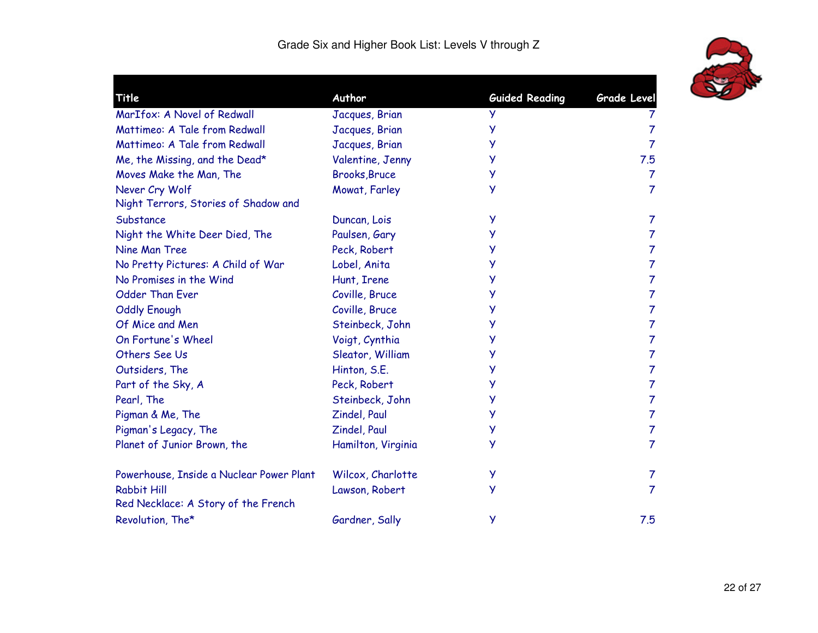

| <b>Title</b>                                              | Author               | <b>Guided Reading</b> | Grade Level    |
|-----------------------------------------------------------|----------------------|-----------------------|----------------|
| MarIfox: A Novel of Redwall                               | Jacques, Brian       | У                     | T              |
| Mattimeo: A Tale from Redwall                             | Jacques, Brian       | y                     | $\overline{7}$ |
| Mattimeo: A Tale from Redwall                             | Jacques, Brian       | У                     | $\overline{7}$ |
| Me, the Missing, and the Dead*                            | Valentine, Jenny     | у                     | 7.5            |
| Moves Make the Man, The                                   | <b>Brooks, Bruce</b> | У                     | $\overline{7}$ |
| Never Cry Wolf                                            | Mowat, Farley        | У                     | $\overline{7}$ |
| Night Terrors, Stories of Shadow and                      |                      |                       |                |
| Substance                                                 | Duncan, Lois         | y                     | 7              |
| Night the White Deer Died, The                            | Paulsen, Gary        | У                     | $\overline{7}$ |
| Nine Man Tree                                             | Peck, Robert         | y                     | $\overline{7}$ |
| No Pretty Pictures: A Child of War                        | Lobel, Anita         | У                     | $\overline{7}$ |
| No Promises in the Wind                                   | Hunt, Irene          | y                     | $\overline{7}$ |
| <b>Odder Than Ever</b>                                    | Coville, Bruce       | У                     | $\overline{7}$ |
| <b>Oddly Enough</b>                                       | Coville, Bruce       | У                     | $\overline{7}$ |
| Of Mice and Men                                           | Steinbeck, John      | У                     | $\overline{7}$ |
| On Fortune's Wheel                                        | Voigt, Cynthia       | y                     | $\overline{7}$ |
| Others See Us                                             | Sleator, William     | У                     | $\overline{7}$ |
| Outsiders, The                                            | Hinton, S.E.         | У                     | $\overline{7}$ |
| Part of the Sky, A                                        | Peck, Robert         | У                     | $\overline{7}$ |
| Pearl, The                                                | Steinbeck, John      | y                     | $\overline{7}$ |
| Pigman & Me, The                                          | Zindel, Paul         | У                     | $\overline{7}$ |
| Pigman's Legacy, The                                      | Zindel, Paul         | У                     | $\overline{7}$ |
| Planet of Junior Brown, the                               | Hamilton, Virginia   | У                     | $\overline{7}$ |
| Powerhouse, Inside a Nuclear Power Plant                  | Wilcox, Charlotte    | y                     | $\overline{7}$ |
| <b>Rabbit Hill</b><br>Red Necklace: A Story of the French | Lawson, Robert       | У                     | $\overline{7}$ |
| Revolution, The*                                          | Gardner, Sally       | У                     | 7.5            |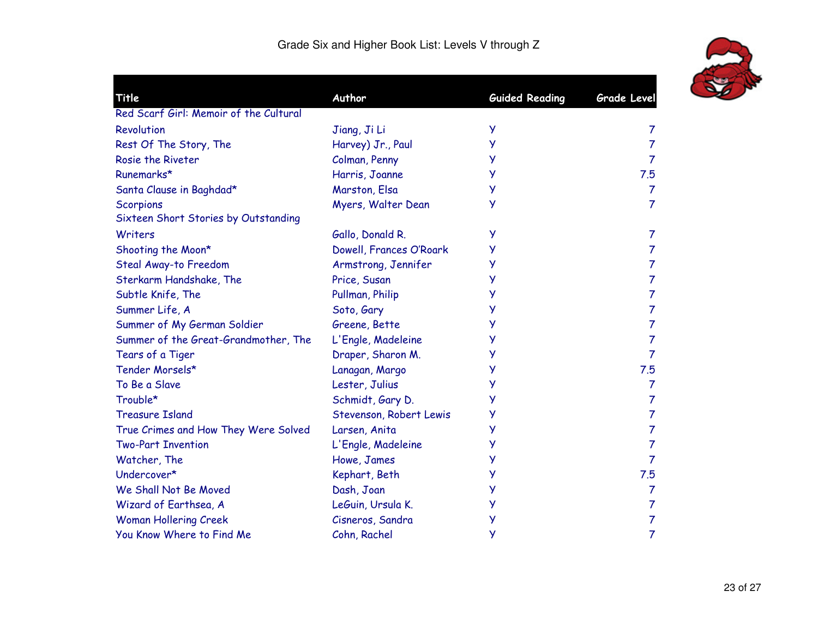

| Title                                  | Author                  | <b>Guided Reading</b> | Grade Level    |
|----------------------------------------|-------------------------|-----------------------|----------------|
| Red Scarf Girl: Memoir of the Cultural |                         |                       |                |
| Revolution                             | Jiang, Ji Li            | у                     | 7              |
| Rest Of The Story, The                 | Harvey) Jr., Paul       | У                     | $\overline{7}$ |
| Rosie the Riveter                      | Colman, Penny           | У                     | $\overline{7}$ |
| Runemarks*                             | Harris, Joanne          | у                     | 7.5            |
| Santa Clause in Baghdad*               | Marston, Elsa           | Ÿ                     | $\overline{7}$ |
| <b>Scorpions</b>                       | Myers, Walter Dean      | У                     | $\overline{7}$ |
| Sixteen Short Stories by Outstanding   |                         |                       |                |
| Writers                                | Gallo, Donald R.        | y                     | 7              |
| Shooting the Moon*                     | Dowell, Frances O'Roark | у                     | $\overline{7}$ |
| Steal Away-to Freedom                  | Armstrong, Jennifer     | У                     | $\overline{7}$ |
| Sterkarm Handshake, The                | Price, Susan            | У                     | $\overline{7}$ |
| Subtle Knife, The                      | Pullman, Philip         | У                     | $\overline{7}$ |
| Summer Life, A                         | Soto, Gary              | у                     | 7              |
| Summer of My German Soldier            | Greene, Bette           | У                     | $\overline{7}$ |
| Summer of the Great-Grandmother, The   | L'Engle, Madeleine      | У                     | $\overline{7}$ |
| Tears of a Tiger                       | Draper, Sharon M.       | У                     | $\overline{7}$ |
| Tender Morsels*                        | Lanagan, Margo          | Ÿ                     | 7.5            |
| To Be a Slave                          | Lester, Julius          | У                     | $\overline{7}$ |
| Trouble*                               | Schmidt, Gary D.        | у                     | $\overline{7}$ |
| <b>Treasure Island</b>                 | Stevenson, Robert Lewis | У                     | $\overline{7}$ |
| True Crimes and How They Were Solved   | Larsen, Anita           | У                     | $\overline{7}$ |
| <b>Two-Part Invention</b>              | L'Engle, Madeleine      | У                     | $\overline{7}$ |
| Watcher, The                           | Howe, James             | у                     | $\overline{7}$ |
| Undercover*                            | Kephart, Beth           | У                     | 7.5            |
| We Shall Not Be Moved                  | Dash, Joan              | У                     | $\overline{7}$ |
| Wizard of Earthsea, A                  | LeGuin, Ursula K.       | y                     | $\overline{7}$ |
| <b>Woman Hollering Creek</b>           | Cisneros, Sandra        | Ÿ                     | $\overline{7}$ |
| You Know Where to Find Me              | Cohn, Rachel            | У                     | $\overline{7}$ |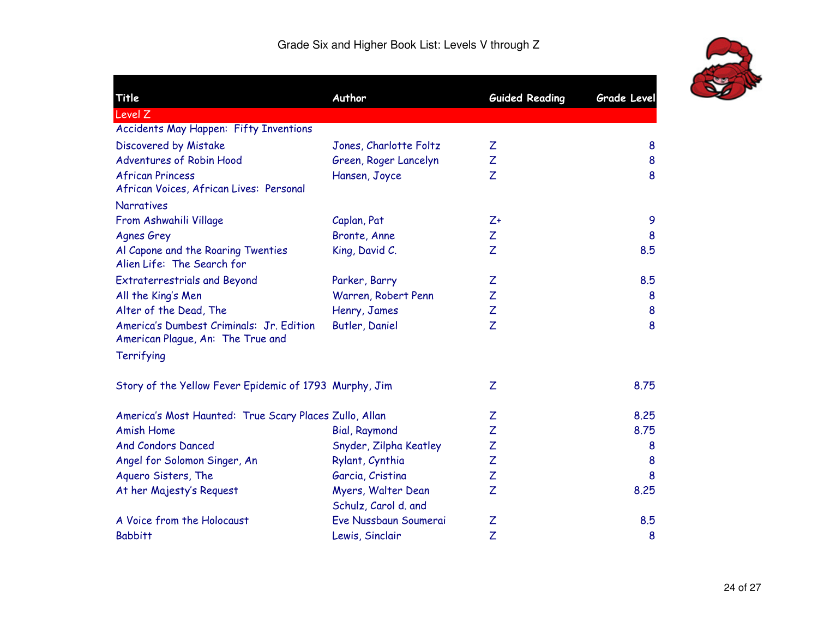

| Title                                                                         | Author                 | <b>Guided Reading</b> | <b>Grade Level</b> |
|-------------------------------------------------------------------------------|------------------------|-----------------------|--------------------|
| Level Z                                                                       |                        |                       |                    |
| Accidents May Happen: Fifty Inventions                                        |                        |                       |                    |
| Discovered by Mistake                                                         | Jones, Charlotte Foltz | Ζ                     | 8                  |
| Adventures of Robin Hood                                                      | Green, Roger Lancelyn  | Z                     | 8                  |
| <b>African Princess</b>                                                       | Hansen, Joyce          | Z                     | 8                  |
| African Voices, African Lives: Personal                                       |                        |                       |                    |
| <b>Narratives</b>                                                             |                        |                       |                    |
| From Ashwahili Village                                                        | Caplan, Pat            | $Z+$                  | 9                  |
| <b>Agnes Grey</b>                                                             | Bronte, Anne           | Ζ                     | 8                  |
| Al Capone and the Roaring Twenties<br>Alien Life: The Search for              | King, David C.         | Z                     | 8.5                |
| <b>Extraterrestrials and Beyond</b>                                           | Parker, Barry          | Ζ                     | 8.5                |
| All the King's Men                                                            | Warren, Robert Penn    | Z                     | 8                  |
| Alter of the Dead, The                                                        | Henry, James           | Ζ                     | 8                  |
| America's Dumbest Criminals: Jr. Edition<br>American Plague, An: The True and | Butler, Daniel         | Z                     | 8                  |
| Terrifying                                                                    |                        |                       |                    |
| Story of the Yellow Fever Epidemic of 1793 Murphy, Jim                        |                        | Z                     | 8.75               |
| America's Most Haunted: True Scary Places Zullo, Allan                        |                        | Ζ                     | 8.25               |
| <b>Amish Home</b>                                                             | <b>Bial, Raymond</b>   | Z                     | 8.75               |
| <b>And Condors Danced</b>                                                     | Snyder, Zilpha Keatley | Z                     | 8                  |
| Angel for Solomon Singer, An                                                  | Rylant, Cynthia        | Z                     | 8                  |
| Aquero Sisters, The                                                           | Garcia, Cristina       | Z                     | 8                  |
| At her Majesty's Request                                                      | Myers, Walter Dean     | Ζ                     | 8.25               |
|                                                                               | Schulz, Carol d. and   |                       |                    |
| A Voice from the Holocaust                                                    | Eve Nussbaun Soumerai  | Z                     | 8.5                |
| <b>Babbitt</b>                                                                | Lewis, Sinclair        | Z                     | 8                  |
|                                                                               |                        |                       |                    |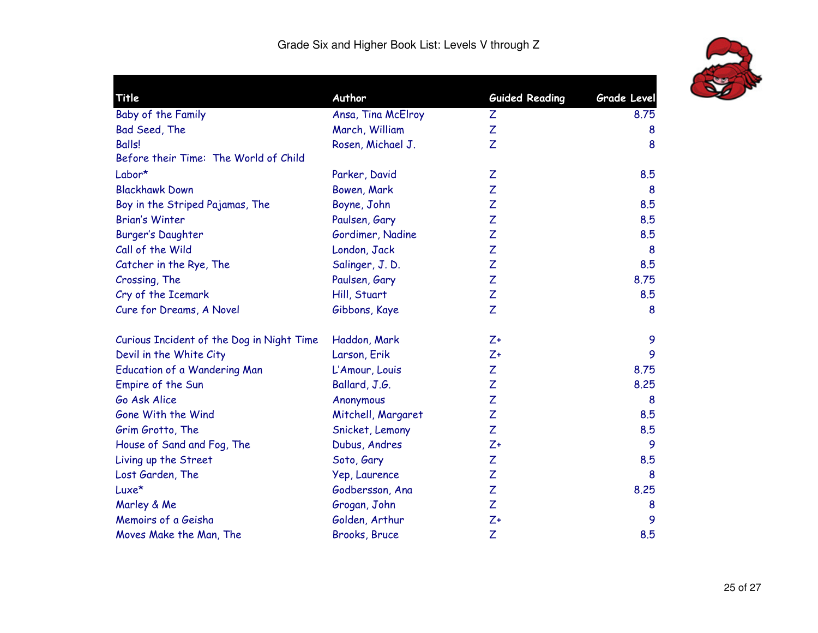

| <b>Title</b>                              | Author             | <b>Guided Reading</b> | Grade Level |
|-------------------------------------------|--------------------|-----------------------|-------------|
| Baby of the Family                        | Ansa, Tina McElroy | Z                     | 8.75        |
| Bad Seed, The                             | March, William     | Z                     | 8           |
| <b>Balls!</b>                             | Rosen, Michael J.  | Z                     | 8           |
| Before their Time: The World of Child     |                    |                       |             |
| Labor*                                    | Parker, David      | Ζ                     | 8.5         |
| <b>Blackhawk Down</b>                     | Bowen, Mark        | Z                     | 8           |
| Boy in the Striped Pajamas, The           | Boyne, John        | Z                     | 8.5         |
| <b>Brian's Winter</b>                     | Paulsen, Gary      | Z                     | 8.5         |
| <b>Burger's Daughter</b>                  | Gordimer, Nadine   | Z                     | 8.5         |
| Call of the Wild                          | London, Jack       | Z                     | 8           |
| Catcher in the Rye, The                   | Salinger, J.D.     | Z                     | 8.5         |
| Crossing, The                             | Paulsen, Gary      | Z                     | 8.75        |
| Cry of the Icemark                        | Hill, Stuart       | Z                     | 8.5         |
| Cure for Dreams, A Novel                  | Gibbons, Kaye      | Z                     | 8           |
| Curious Incident of the Dog in Night Time | Haddon, Mark       | $Z+$                  | 9           |
| Devil in the White City                   | Larson, Erik       | $Z+$                  | 9           |
| Education of a Wandering Man              | L'Amour, Louis     | Z                     | 8.75        |
| Empire of the Sun                         | Ballard, J.G.      | Z                     | 8.25        |
| Go Ask Alice                              | Anonymous          | Z                     | 8           |
| Gone With the Wind                        | Mitchell, Margaret | Z                     | 8.5         |
| Grim Grotto, The                          | Snicket, Lemony    | Z                     | 8.5         |
| House of Sand and Fog, The                | Dubus, Andres      | $Z+$                  | 9           |
| Living up the Street                      | Soto, Gary         | Z                     | 8.5         |
| Lost Garden, The                          | Yep, Laurence      | Ζ                     | 8           |
| Luxe*                                     | Godbersson, Ana    | Z                     | 8.25        |
| Marley & Me                               | Grogan, John       | Z                     | 8           |
| Memoirs of a Geisha                       | Golden, Arthur     | $Z+$                  | 9           |
| Moves Make the Man, The                   | Brooks, Bruce      | Z                     | 8.5         |
|                                           |                    |                       |             |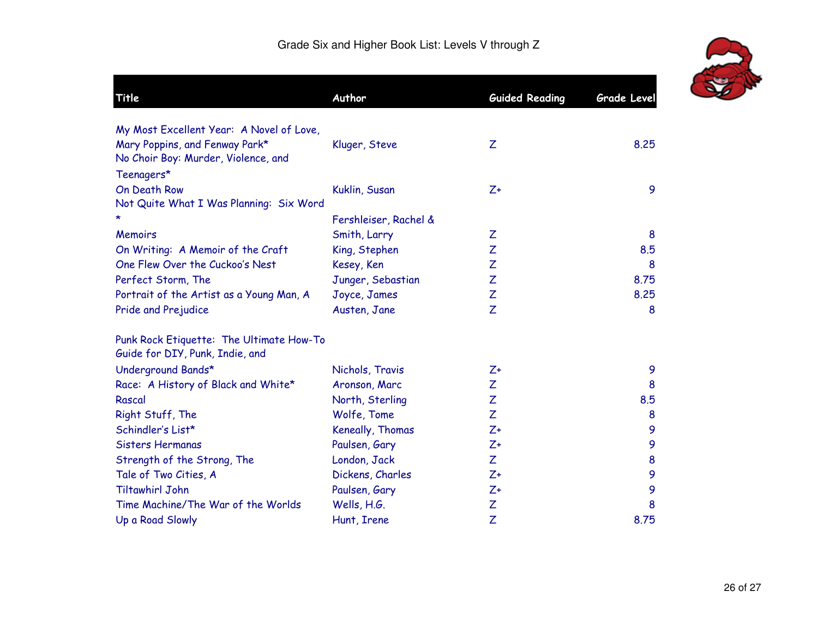

| Title                                    | Author                | <b>Guided Reading</b> | <b>Grade Level</b> |
|------------------------------------------|-----------------------|-----------------------|--------------------|
| My Most Excellent Year: A Novel of Love, |                       |                       |                    |
| Mary Poppins, and Fenway Park*           | Kluger, Steve         | Z                     | 8,25               |
| No Choir Boy: Murder, Violence, and      |                       |                       |                    |
| Teenagers*                               |                       |                       |                    |
| On Death Row                             | Kuklin, Susan         | $Z+$                  | 9                  |
| Not Quite What I Was Planning: Six Word  |                       |                       |                    |
|                                          | Fershleiser, Rachel & |                       |                    |
| <b>Memoirs</b>                           | Smith, Larry          | Z                     | 8                  |
| On Writing: A Memoir of the Craft        | King, Stephen         | Z                     | 8.5                |
| One Flew Over the Cuckoo's Nest          | Kesey, Ken            | Z                     | 8                  |
| Perfect Storm, The                       | Junger, Sebastian     | Z                     | 8.75               |
| Portrait of the Artist as a Young Man, A | Joyce, James          | Z                     | 8.25               |
| Pride and Prejudice                      | Austen, Jane          | Z                     | 8                  |
| Punk Rock Etiquette: The Ultimate How-To |                       |                       |                    |
| Guide for DIY, Punk, Indie, and          |                       |                       |                    |
| Underground Bands*                       | Nichols, Travis       | $Z+$                  | 9                  |
| Race: A History of Black and White*      | Aronson, Marc         | Z                     | 8                  |
| Rascal                                   | North, Sterling       | Z                     | 8.5                |
| Right Stuff, The                         | Wolfe, Tome           | Z                     | 8                  |
| Schindler's List*                        | Keneally, Thomas      | $Z+$                  | 9                  |
| Sisters Hermanas                         | Paulsen, Gary         | $Z+$                  | 9                  |
| Strength of the Strong, The              | London, Jack          | Z                     | 8                  |
| Tale of Two Cities, A                    | Dickens, Charles      | $Z+$                  | 9                  |
| <b>Tiltawhirl John</b>                   | Paulsen, Gary         | $Z+$                  | 9                  |
| Time Machine/The War of the Worlds       | Wells, H.G.           | Z                     | 8                  |
| Up a Road Slowly                         | Hunt, Irene           | Z                     | 8.75               |